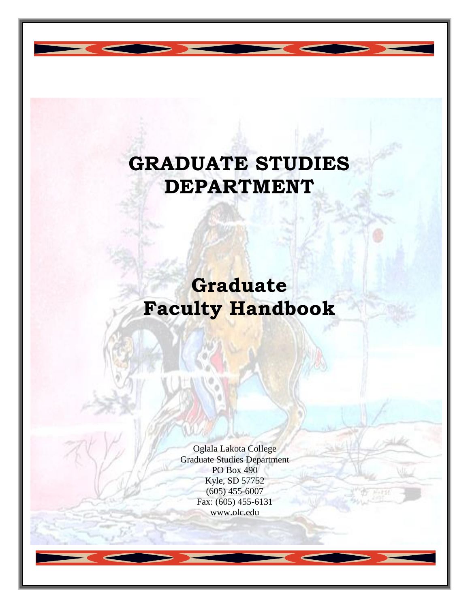# **GRADUATE STUDIES DEPARTMENT**

# **Graduate Faculty Handbook**

Oglala Lakota College Graduate Studies Department PO Box 490 Kyle, SD 57752 (605) 455-6007 Fax: (605) 455-6131 www.olc.edu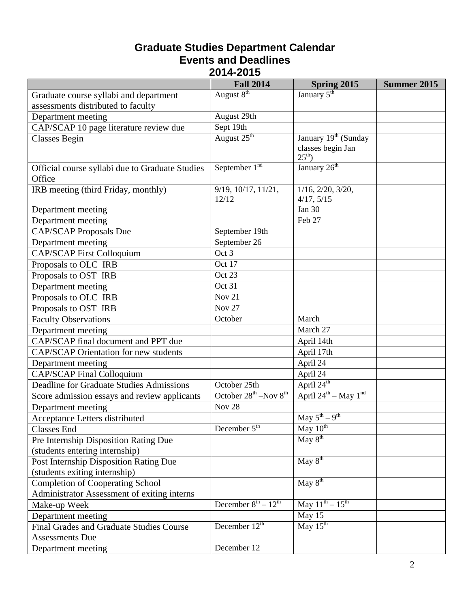#### **Graduate Studies Department Calendar Events and Deadlines 2014-2015**

|                                                                    | <b>Fall 2014</b>                | <b>Spring 2015</b>                                                   | Summer 2015 |
|--------------------------------------------------------------------|---------------------------------|----------------------------------------------------------------------|-------------|
| Graduate course syllabi and department                             | August 8 <sup>th</sup>          | January 5 <sup>th</sup>                                              |             |
| assessments distributed to faculty                                 |                                 |                                                                      |             |
| Department meeting                                                 | August 29th                     |                                                                      |             |
| CAP/SCAP 10 page literature review due                             | Sept 19th                       |                                                                      |             |
| <b>Classes Begin</b>                                               | August 25 <sup>th</sup>         | January 19 <sup>th</sup> (Sunday<br>classes begin Jan<br>$25^{th}$ ) |             |
| Official course syllabi due to Graduate Studies<br>Office          | September $1nd$                 | January 26 <sup>th</sup>                                             |             |
| IRB meeting (third Friday, monthly)                                | 9/19, 10/17, 11/21,<br>12/12    | $1/16$ , $2/20$ , $3/20$ ,<br>4/17, 5/15                             |             |
| Department meeting                                                 |                                 | <b>Jan 30</b>                                                        |             |
| Department meeting                                                 |                                 | Feb 27                                                               |             |
| <b>CAP/SCAP</b> Proposals Due                                      | September 19th                  |                                                                      |             |
| Department meeting                                                 | September 26                    |                                                                      |             |
| <b>CAP/SCAP First Colloquium</b>                                   | Oct 3                           |                                                                      |             |
| Proposals to OLC IRB                                               | Oct 17                          |                                                                      |             |
| Proposals to OST IRB                                               | Oct 23                          |                                                                      |             |
| Department meeting                                                 | Oct 31                          |                                                                      |             |
| Proposals to OLC IRB                                               | <b>Nov 21</b>                   |                                                                      |             |
| Proposals to OST IRB                                               | <b>Nov 27</b>                   |                                                                      |             |
| <b>Faculty Observations</b>                                        | October                         | March                                                                |             |
| Department meeting                                                 |                                 | March 27                                                             |             |
| CAP/SCAP final document and PPT due                                |                                 | April 14th                                                           |             |
| <b>CAP/SCAP Orientation for new students</b>                       |                                 | April 17th                                                           |             |
| Department meeting                                                 |                                 | April 24                                                             |             |
| CAP/SCAP Final Colloquium                                          |                                 | April 24                                                             |             |
| <b>Deadline for Graduate Studies Admissions</b>                    | October 25th                    | April 24 <sup>th</sup>                                               |             |
| Score admission essays and review applicants                       | October $28^{th}$ –Nov $8^{th}$ | April $24^{\text{th}} -$ May $1^{\text{nd}}$                         |             |
| Department meeting                                                 | <b>Nov 28</b>                   |                                                                      |             |
| Acceptance Letters distributed                                     |                                 | May $5^{th} - 9^{th}$                                                |             |
| <b>Classes</b> End                                                 | December $5th$                  | May 10 <sup>th</sup>                                                 |             |
| Pre Internship Disposition Rating Due                              |                                 | $\overline{\text{May } 8^{\text{th}}}$                               |             |
| (students entering internship)                                     |                                 |                                                                      |             |
| Post Internship Disposition Rating Due                             |                                 | May 8 <sup>th</sup>                                                  |             |
| (students exiting internship)                                      |                                 |                                                                      |             |
| <b>Completion of Cooperating School</b>                            |                                 | $\overline{\text{May } 8^{\text{th}}}$                               |             |
| Administrator Assessment of exiting interns                        |                                 |                                                                      |             |
| Make-up Week                                                       | December $8^{th} - 12^{th}$     | May $11^{th} - 15^{th}$                                              |             |
| Department meeting                                                 |                                 | May 15                                                               |             |
| Final Grades and Graduate Studies Course<br><b>Assessments Due</b> | December $12th$                 | $\overline{\text{May }15^{\text{th}}}$                               |             |
| Department meeting                                                 | December 12                     |                                                                      |             |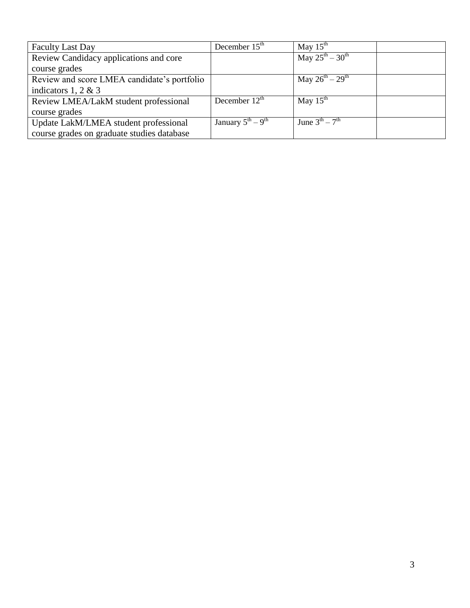| <b>Faculty Last Day</b>                     | December $15^{\text{th}}$               | May $15^{\text{th}}$                 |  |
|---------------------------------------------|-----------------------------------------|--------------------------------------|--|
| Review Candidacy applications and core      |                                         | May $25^{th} - 30^{th}$              |  |
| course grades                               |                                         |                                      |  |
| Review and score LMEA candidate's portfolio |                                         | May $26^{th} - 29^{th}$              |  |
| indicators 1, 2 & 3                         |                                         |                                      |  |
| Review LMEA/LakM student professional       | December $12th$                         | May $15^{th}$                        |  |
| course grades                               |                                         |                                      |  |
| Update LakM/LMEA student professional       | January $5^{\text{th}} - 9^{\text{th}}$ | June $3^{\text{th}} - 7^{\text{th}}$ |  |
| course grades on graduate studies database  |                                         |                                      |  |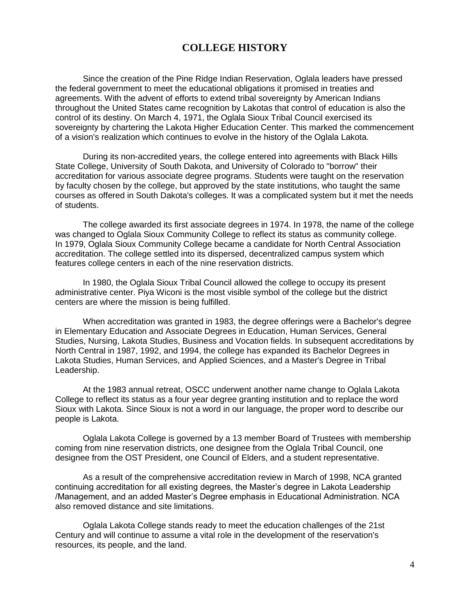#### **COLLEGE HISTORY**

Since the creation of the Pine Ridge Indian Reservation, Oglala leaders have pressed the federal government to meet the educational obligations it promised in treaties and agreements. With the advent of efforts to extend tribal sovereignty by American Indians throughout the United States came recognition by Lakotas that control of education is also the control of its destiny. On March 4, 1971, the Oglala Sioux Tribal Council exercised its sovereignty by chartering the Lakota Higher Education Center. This marked the commencement of a vision's realization which continues to evolve in the history of the Oglala Lakota.

During its non-accredited years, the college entered into agreements with Black Hills State College, University of South Dakota, and University of Colorado to "borrow" their accreditation for various associate degree programs. Students were taught on the reservation by faculty chosen by the college, but approved by the state institutions, who taught the same courses as offered in South Dakota's colleges. It was a complicated system but it met the needs of students.

The college awarded its first associate degrees in 1974. In 1978, the name of the college was changed to Oglala Sioux Community College to reflect its status as community college. In 1979, Oglala Sioux Community College became a candidate for North Central Association accreditation. The college settled into its dispersed, decentralized campus system which features college centers in each of the nine reservation districts.

In 1980, the Oglala Sioux Tribal Council allowed the college to occupy its present administrative center. Piya Wiconi is the most visible symbol of the college but the district centers are where the mission is being fulfilled.

When accreditation was granted in 1983, the degree offerings were a Bachelor's degree in Elementary Education and Associate Degrees in Education, Human Services, General Studies, Nursing, Lakota Studies, Business and Vocation fields. In subsequent accreditations by North Central in 1987, 1992, and 1994, the college has expanded its Bachelor Degrees in Lakota Studies, Human Services, and Applied Sciences, and a Master's Degree in Tribal Leadership.

At the 1983 annual retreat, OSCC underwent another name change to Oglala Lakota College to reflect its status as a four year degree granting institution and to replace the word Sioux with Lakota. Since Sioux is not a word in our language, the proper word to describe our people is Lakota.

Oglala Lakota College is governed by a 13 member Board of Trustees with membership coming from nine reservation districts, one designee from the Oglala Tribal Council, one designee from the OST President, one Council of Elders, and a student representative.

As a result of the comprehensive accreditation review in March of 1998, NCA granted continuing accreditation for all existing degrees, the Master's degree in Lakota Leadership /Management, and an added Master's Degree emphasis in Educational Administration. NCA also removed distance and site limitations.

Oglala Lakota College stands ready to meet the education challenges of the 21st Century and will continue to assume a vital role in the development of the reservation's resources, its people, and the land.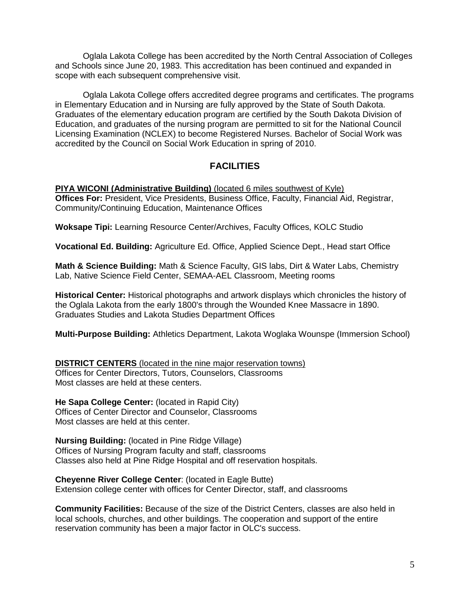Oglala Lakota College has been accredited by the North Central Association of Colleges and Schools since June 20, 1983. This accreditation has been continued and expanded in scope with each subsequent comprehensive visit.

Oglala Lakota College offers accredited degree programs and certificates. The programs in Elementary Education and in Nursing are fully approved by the State of South Dakota. Graduates of the elementary education program are certified by the South Dakota Division of Education, and graduates of the nursing program are permitted to sit for the National Council Licensing Examination (NCLEX) to become Registered Nurses. Bachelor of Social Work was accredited by the Council on Social Work Education in spring of 2010.

#### **FACILITIES**

**PIYA WICONI (Administrative Building)** (located 6 miles southwest of Kyle) **Offices For:** President, Vice Presidents, Business Office, Faculty, Financial Aid, Registrar, Community/Continuing Education, Maintenance Offices

**Woksape Tipi:** Learning Resource Center/Archives, Faculty Offices, KOLC Studio

**Vocational Ed. Building:** Agriculture Ed. Office, Applied Science Dept., Head start Office

**Math & Science Building:** Math & Science Faculty, GIS labs, Dirt & Water Labs, Chemistry Lab, Native Science Field Center, SEMAA-AEL Classroom, Meeting rooms

**Historical Center:** Historical photographs and artwork displays which chronicles the history of the Oglala Lakota from the early 1800's through the Wounded Knee Massacre in 1890. Graduates Studies and Lakota Studies Department Offices

**Multi-Purpose Building:** Athletics Department, Lakota Woglaka Wounspe (Immersion School)

**DISTRICT CENTERS** (located in the nine major reservation towns) Offices for Center Directors, Tutors, Counselors, Classrooms Most classes are held at these centers.

**He Sapa College Center:** (located in Rapid City) Offices of Center Director and Counselor, Classrooms Most classes are held at this center.

**Nursing Building:** (located in Pine Ridge Village) Offices of Nursing Program faculty and staff, classrooms Classes also held at Pine Ridge Hospital and off reservation hospitals.

**Cheyenne River College Center**: (located in Eagle Butte) Extension college center with offices for Center Director, staff, and classrooms

**Community Facilities:** Because of the size of the District Centers, classes are also held in local schools, churches, and other buildings. The cooperation and support of the entire reservation community has been a major factor in OLC's success.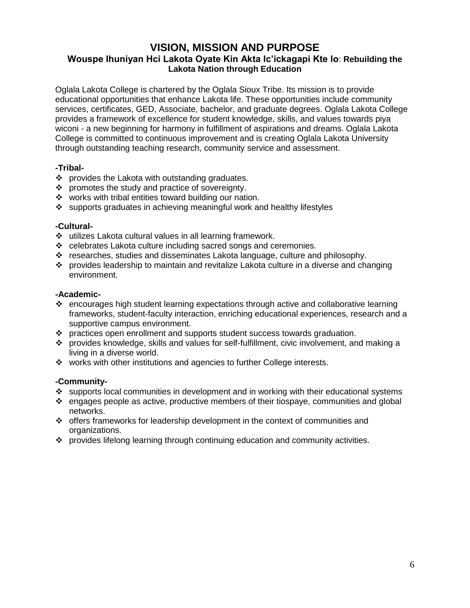#### **VISION, MISSION AND PURPOSE Wouspe Ihuniyan Hci Lakota Oyate Kin Akta Ic'ickagapi Kte lo**: **Rebuilding the Lakota Nation through Education**

Oglala Lakota College is chartered by the Oglala Sioux Tribe. Its mission is to provide educational opportunities that enhance Lakota life. These opportunities include community services, certificates, GED, Associate, bachelor, and graduate degrees. Oglala Lakota College provides a framework of excellence for student knowledge, skills, and values towards piya wiconi - a new beginning for harmony in fulfillment of aspirations and dreams. Oglala Lakota College is committed to continuous improvement and is creating Oglala Lakota University through outstanding teaching research, community service and assessment.

#### **-Tribal-**

- ❖ provides the Lakota with outstanding graduates.
- $\div$  promotes the study and practice of sovereignty.
- ❖ works with tribal entities toward building our nation.
- ❖ supports graduates in achieving meaningful work and healthy lifestyles

#### **-Cultural-**

- utilizes Lakota cultural values in all learning framework.
- celebrates Lakota culture including sacred songs and ceremonies.
- researches, studies and disseminates Lakota language, culture and philosophy.
- provides leadership to maintain and revitalize Lakota culture in a diverse and changing environment.

#### **-Academic-**

- encourages high student learning expectations through active and collaborative learning frameworks, student-faculty interaction, enriching educational experiences, research and a supportive campus environment.
- \* practices open enrollment and supports student success towards graduation.
- provides knowledge, skills and values for self-fulfillment, civic involvement, and making a living in a diverse world.
- works with other institutions and agencies to further College interests.

#### **-Community-**

- $\cdot$  supports local communities in development and in working with their educational systems
- $\div$  engages people as active, productive members of their tiospaye, communities and global networks.
- offers frameworks for leadership development in the context of communities and organizations.
- provides lifelong learning through continuing education and community activities.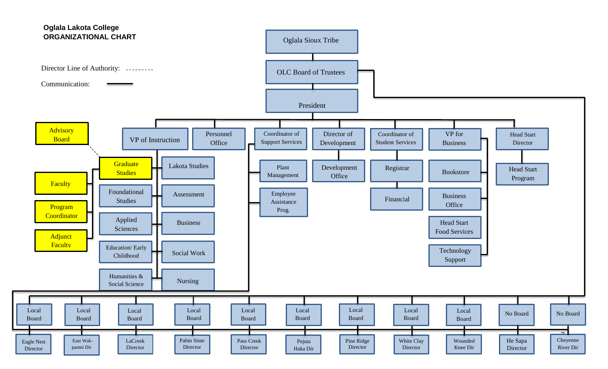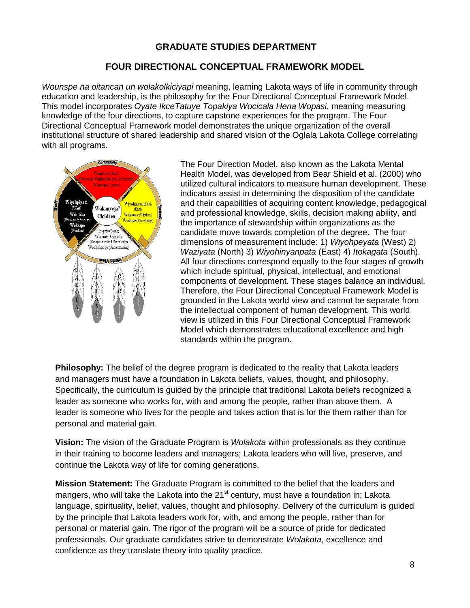#### **GRADUATE STUDIES DEPARTMENT**

#### **FOUR DIRECTIONAL CONCEPTUAL FRAMEWORK MODEL**

*Wounspe na oitancan un wolakolkiciyapi* meaning, learning Lakota ways of life in community through education and leadership, is the philosophy for the Four Directional Conceptual Framework Model. This model incorporates *Oyate IkceTatuye Topakiya Wocicala Hena Wopasi*, meaning measuring knowledge of the four directions, to capture capstone experiences for the program. The Four Directional Conceptual Framework model demonstrates the unique organization of the overall institutional structure of shared leadership and shared vision of the Oglala Lakota College correlating with all programs.



The Four Direction Model, also known as the Lakota Mental Health Model, was developed from Bear Shield et al. (2000) who utilized cultural indicators to measure human development. These indicators assist in determining the disposition of the candidate and their capabilities of acquiring content knowledge, pedagogical and professional knowledge, skills, decision making ability, and the importance of stewardship within organizations as the candidate move towards completion of the degree. The four dimensions of measurement include: 1) *Wiyohpeyata* (West) 2) *Waziyata* (North) 3) *Wiyohinyanpata* (East) 4) *Itokagata* (South). All four directions correspond equally to the four stages of growth which include spiritual, physical, intellectual, and emotional components of development. These stages balance an individual. Therefore, the Four Directional Conceptual Framework Model is grounded in the Lakota world view and cannot be separate from the intellectual component of human development. This world view is utilized in this Four Directional Conceptual Framework Model which demonstrates educational excellence and high standards within the program.

**Philosophy:** The belief of the degree program is dedicated to the reality that Lakota leaders and managers must have a foundation in Lakota beliefs, values, thought, and philosophy. Specifically, the curriculum is guided by the principle that traditional Lakota beliefs recognized a leader as someone who works for, with and among the people, rather than above them. A leader is someone who lives for the people and takes action that is for the them rather than for personal and material gain.

**Vision:** The vision of the Graduate Program is *Wolakota* within professionals as they continue in their training to become leaders and managers; Lakota leaders who will live, preserve, and continue the Lakota way of life for coming generations.

**Mission Statement:** The Graduate Program is committed to the belief that the leaders and mangers, who will take the Lakota into the  $21<sup>st</sup>$  century, must have a foundation in; Lakota language, spirituality, belief, values, thought and philosophy. Delivery of the curriculum is guided by the principle that Lakota leaders work for, with, and among the people, rather than for personal or material gain. The rigor of the program will be a source of pride for dedicated professionals. Our graduate candidates strive to demonstrate *Wolakota*, excellence and confidence as they translate theory into quality practice.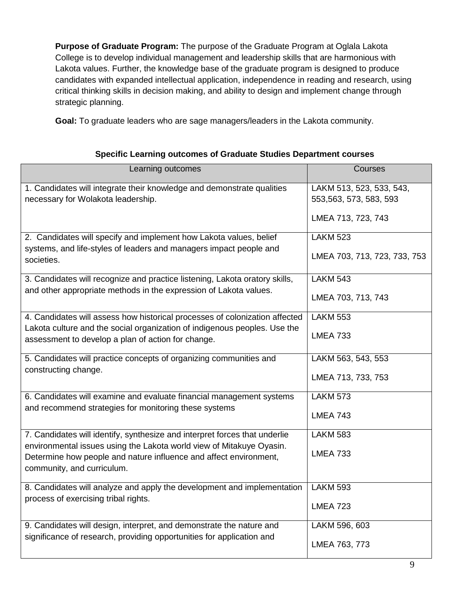**Purpose of Graduate Program:** The purpose of the Graduate Program at Oglala Lakota College is to develop individual management and leadership skills that are harmonious with Lakota values. Further, the knowledge base of the graduate program is designed to produce candidates with expanded intellectual application, independence in reading and research, using critical thinking skills in decision making, and ability to design and implement change through strategic planning.

**Goal:** To graduate leaders who are sage managers/leaders in the Lakota community.

| Learning outcomes                                                                                                                                        | Courses                                             |
|----------------------------------------------------------------------------------------------------------------------------------------------------------|-----------------------------------------------------|
| 1. Candidates will integrate their knowledge and demonstrate qualities<br>necessary for Wolakota leadership.                                             | LAKM 513, 523, 533, 543,<br>553, 563, 573, 583, 593 |
|                                                                                                                                                          | LMEA 713, 723, 743                                  |
| 2. Candidates will specify and implement how Lakota values, belief<br>systems, and life-styles of leaders and managers impact people and                 | <b>LAKM 523</b>                                     |
| societies.                                                                                                                                               | LMEA 703, 713, 723, 733, 753                        |
| 3. Candidates will recognize and practice listening, Lakota oratory skills,<br>and other appropriate methods in the expression of Lakota values.         | LAKM $543$                                          |
|                                                                                                                                                          | LMEA 703, 713, 743                                  |
| 4. Candidates will assess how historical processes of colonization affected<br>Lakota culture and the social organization of indigenous peoples. Use the | <b>LAKM 553</b>                                     |
| assessment to develop a plan of action for change.                                                                                                       | <b>LMEA 733</b>                                     |
| 5. Candidates will practice concepts of organizing communities and<br>constructing change.                                                               | LAKM 563, 543, 553                                  |
|                                                                                                                                                          | LMEA 713, 733, 753                                  |
| 6. Candidates will examine and evaluate financial management systems<br>and recommend strategies for monitoring these systems                            | <b>LAKM 573</b>                                     |
|                                                                                                                                                          | <b>LMEA 743</b>                                     |
| 7. Candidates will identify, synthesize and interpret forces that underlie<br>environmental issues using the Lakota world view of Mitakuye Oyasin.       | <b>LAKM 583</b>                                     |
| Determine how people and nature influence and affect environment,<br>community, and curriculum.                                                          | <b>LMEA 733</b>                                     |
| 8. Candidates will analyze and apply the development and implementation                                                                                  | <b>LAKM 593</b>                                     |
| process of exercising tribal rights.                                                                                                                     | <b>LMEA 723</b>                                     |
| 9. Candidates will design, interpret, and demonstrate the nature and                                                                                     | LAKM 596, 603                                       |
| significance of research, providing opportunities for application and                                                                                    | LMEA 763, 773                                       |

#### **Specific Learning outcomes of Graduate Studies Department courses**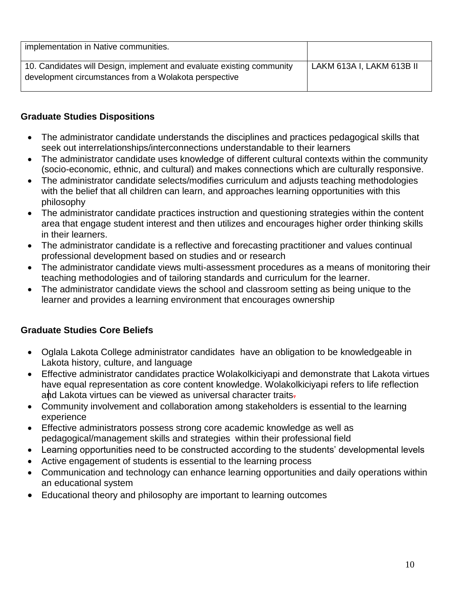| implementation in Native communities.                                                                                          |                           |
|--------------------------------------------------------------------------------------------------------------------------------|---------------------------|
| 10. Candidates will Design, implement and evaluate existing community<br>development circumstances from a Wolakota perspective | LAKM 613A I, LAKM 613B II |

#### **Graduate Studies Dispositions**

- The administrator candidate understands the disciplines and practices pedagogical skills that seek out interrelationships/interconnections understandable to their learners
- The administrator candidate uses knowledge of different cultural contexts within the community (socio-economic, ethnic, and cultural) and makes connections which are culturally responsive.
- The administrator candidate selects/modifies curriculum and adjusts teaching methodologies with the belief that all children can learn, and approaches learning opportunities with this philosophy
- The administrator candidate practices instruction and questioning strategies within the content area that engage student interest and then utilizes and encourages higher order thinking skills in their learners.
- The administrator candidate is a reflective and forecasting practitioner and values continual professional development based on studies and or research
- The administrator candidate views multi-assessment procedures as a means of monitoring their teaching methodologies and of tailoring standards and curriculum for the learner.
- The administrator candidate views the school and classroom setting as being unique to the learner and provides a learning environment that encourages ownership

#### **Graduate Studies Core Beliefs**

- Oglala Lakota College administrator candidates have an obligation to be knowledgeable in Lakota history, culture, and language
- Effective administrator candidates practice Wolakolkiciyapi and demonstrate that Lakota virtues have equal representation as core content knowledge. Wolakolkiciyapi refers to life reflection and Lakota virtues can be viewed as universal character traits-
- Community involvement and collaboration among stakeholders is essential to the learning experience
- Effective administrators possess strong core academic knowledge as well as pedagogical/management skills and strategies within their professional field
- Learning opportunities need to be constructed according to the students' developmental levels
- Active engagement of students is essential to the learning process
- Communication and technology can enhance learning opportunities and daily operations within an educational system
- Educational theory and philosophy are important to learning outcomes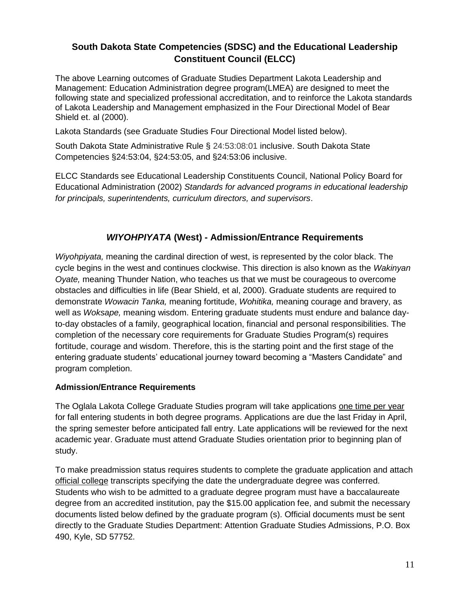#### **South Dakota State Competencies (SDSC) and the Educational Leadership Constituent Council (ELCC)**

The above Learning outcomes of Graduate Studies Department Lakota Leadership and Management: Education Administration degree program(LMEA) are designed to meet the following state and specialized professional accreditation, and to reinforce the Lakota standards of Lakota Leadership and Management emphasized in the Four Directional Model of Bear Shield et. al (2000).

Lakota Standards (see Graduate Studies Four Directional Model listed below).

South Dakota State Administrative Rule § 24:53:08:01 inclusive. South Dakota State Competencies §24:53:04, §24:53:05, and §24:53:06 inclusive.

ELCC Standards see Educational Leadership Constituents Council, National Policy Board for Educational Administration (2002) *Standards for advanced programs in educational leadership for principals, superintendents, curriculum directors, and supervisors*.

#### *WIYOHPIYATA* **(West) - Admission/Entrance Requirements**

*Wiyohpiyata,* meaning the cardinal direction of west, is represented by the color black. The cycle begins in the west and continues clockwise. This direction is also known as the *Wakinyan Oyate,* meaning Thunder Nation, who teaches us that we must be courageous to overcome obstacles and difficulties in life (Bear Shield, et al, 2000). Graduate students are required to demonstrate *Wowacin Tanka,* meaning fortitude, *Wohitika,* meaning courage and bravery, as well as *Woksape,* meaning wisdom. Entering graduate students must endure and balance dayto-day obstacles of a family, geographical location, financial and personal responsibilities. The completion of the necessary core requirements for Graduate Studies Program(s) requires fortitude, courage and wisdom. Therefore, this is the starting point and the first stage of the entering graduate students' educational journey toward becoming a "Masters Candidate" and program completion.

#### **Admission/Entrance Requirements**

The Oglala Lakota College Graduate Studies program will take applications one time per year for fall entering students in both degree programs. Applications are due the last Friday in April, the spring semester before anticipated fall entry. Late applications will be reviewed for the next academic year. Graduate must attend Graduate Studies orientation prior to beginning plan of study.

To make preadmission status requires students to complete the graduate application and attach official college transcripts specifying the date the undergraduate degree was conferred. Students who wish to be admitted to a graduate degree program must have a baccalaureate degree from an accredited institution, pay the \$15.00 application fee, and submit the necessary documents listed below defined by the graduate program (s). Official documents must be sent directly to the Graduate Studies Department: Attention Graduate Studies Admissions, P.O. Box 490, Kyle, SD 57752.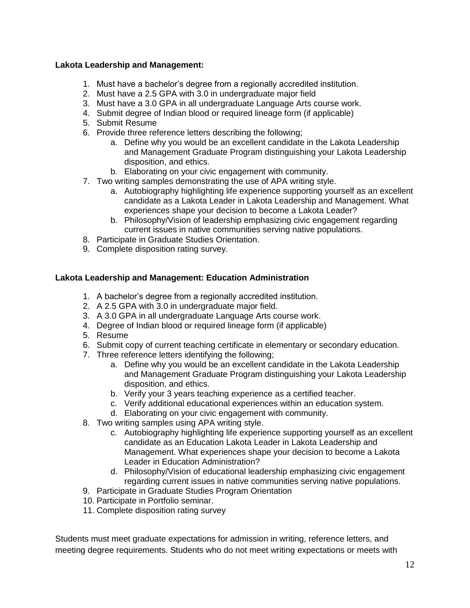#### **Lakota Leadership and Management:**

- 1. Must have a bachelor's degree from a regionally accredited institution.
- 2. Must have a 2.5 GPA with 3.0 in undergraduate major field
- 3. Must have a 3.0 GPA in all undergraduate Language Arts course work.
- 4. Submit degree of Indian blood or required lineage form (if applicable)
- 5. Submit Resume
- 6. Provide three reference letters describing the following;
	- a. Define why you would be an excellent candidate in the Lakota Leadership and Management Graduate Program distinguishing your Lakota Leadership disposition, and ethics.
	- b. Elaborating on your civic engagement with community.
- 7. Two writing samples demonstrating the use of APA writing style.
	- a. Autobiography highlighting life experience supporting yourself as an excellent candidate as a Lakota Leader in Lakota Leadership and Management. What experiences shape your decision to become a Lakota Leader?
	- b. Philosophy/Vision of leadership emphasizing civic engagement regarding current issues in native communities serving native populations.
- 8. Participate in Graduate Studies Orientation.
- 9. Complete disposition rating survey.

#### **Lakota Leadership and Management: Education Administration**

- 1. A bachelor's degree from a regionally accredited institution.
- 2. A 2.5 GPA with 3.0 in undergraduate major field.
- 3. A 3.0 GPA in all undergraduate Language Arts course work.
- 4. Degree of Indian blood or required lineage form (if applicable)
- 5. Resume
- 6. Submit copy of current teaching certificate in elementary or secondary education.
- 7. Three reference letters identifying the following;
	- a. Define why you would be an excellent candidate in the Lakota Leadership and Management Graduate Program distinguishing your Lakota Leadership disposition, and ethics.
	- b. Verify your 3 years teaching experience as a certified teacher.
	- c. Verify additional educational experiences within an education system.
	- d. Elaborating on your civic engagement with community.
- 8. Two writing samples using APA writing style.
	- c. Autobiography highlighting life experience supporting yourself as an excellent candidate as an Education Lakota Leader in Lakota Leadership and Management. What experiences shape your decision to become a Lakota Leader in Education Administration?
	- d. Philosophy/Vision of educational leadership emphasizing civic engagement regarding current issues in native communities serving native populations.
- 9. Participate in Graduate Studies Program Orientation
- 10. Participate in Portfolio seminar.
- 11. Complete disposition rating survey

Students must meet graduate expectations for admission in writing, reference letters, and meeting degree requirements. Students who do not meet writing expectations or meets with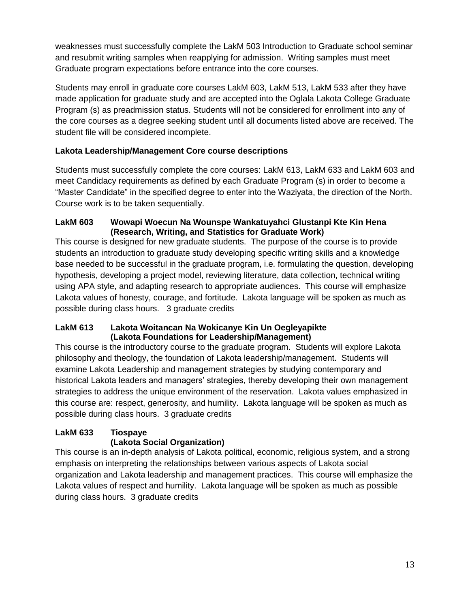weaknesses must successfully complete the LakM 503 Introduction to Graduate school seminar and resubmit writing samples when reapplying for admission. Writing samples must meet Graduate program expectations before entrance into the core courses.

Students may enroll in graduate core courses LakM 603, LakM 513, LakM 533 after they have made application for graduate study and are accepted into the Oglala Lakota College Graduate Program (s) as preadmission status. Students will not be considered for enrollment into any of the core courses as a degree seeking student until all documents listed above are received. The student file will be considered incomplete.

#### **Lakota Leadership/Management Core course descriptions**

Students must successfully complete the core courses: LakM 613, LakM 633 and LakM 603 and meet Candidacy requirements as defined by each Graduate Program (s) in order to become a "Master Candidate" in the specified degree to enter into the Waziyata, the direction of the North. Course work is to be taken sequentially.

#### **LakM 603 Wowapi Woecun Na Wounspe Wankatuyahci Glustanpi Kte Kin Hena (Research, Writing, and Statistics for Graduate Work)**

This course is designed for new graduate students. The purpose of the course is to provide students an introduction to graduate study developing specific writing skills and a knowledge base needed to be successful in the graduate program, i.e. formulating the question, developing hypothesis, developing a project model, reviewing literature, data collection, technical writing using APA style, and adapting research to appropriate audiences. This course will emphasize Lakota values of honesty, courage, and fortitude. Lakota language will be spoken as much as possible during class hours. 3 graduate credits

#### **LakM 613 Lakota Woitancan Na Wokicanye Kin Un Oegleyapikte (Lakota Foundations for Leadership/Management)**

This course is the introductory course to the graduate program. Students will explore Lakota philosophy and theology, the foundation of Lakota leadership/management. Students will examine Lakota Leadership and management strategies by studying contemporary and historical Lakota leaders and managers' strategies, thereby developing their own management strategies to address the unique environment of the reservation. Lakota values emphasized in this course are: respect, generosity, and humility. Lakota language will be spoken as much as possible during class hours. 3 graduate credits

#### **LakM 633 Tiospaye (Lakota Social Organization)**

This course is an in-depth analysis of Lakota political, economic, religious system, and a strong emphasis on interpreting the relationships between various aspects of Lakota social organization and Lakota leadership and management practices. This course will emphasize the Lakota values of respect and humility. Lakota language will be spoken as much as possible during class hours. 3 graduate credits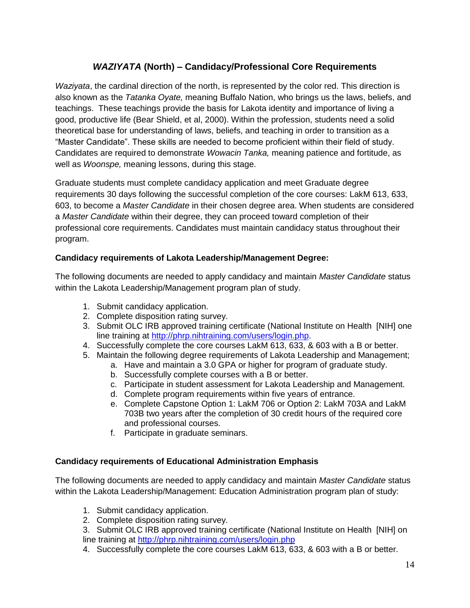#### *WAZIYATA* **(North) – Candidacy/Professional Core Requirements**

*Waziyata*, the cardinal direction of the north, is represented by the color red. This direction is also known as the *Tatanka Oyate,* meaning Buffalo Nation, who brings us the laws, beliefs, and teachings. These teachings provide the basis for Lakota identity and importance of living a good, productive life (Bear Shield, et al, 2000). Within the profession, students need a solid theoretical base for understanding of laws, beliefs, and teaching in order to transition as a "Master Candidate". These skills are needed to become proficient within their field of study. Candidates are required to demonstrate *Wowacin Tanka,* meaning patience and fortitude, as well as *Woonspe,* meaning lessons, during this stage.

Graduate students must complete candidacy application and meet Graduate degree requirements 30 days following the successful completion of the core courses: LakM 613, 633, 603, to become a *Master Candidate* in their chosen degree area. When students are considered a *Master Candidate* within their degree, they can proceed toward completion of their professional core requirements. Candidates must maintain candidacy status throughout their program.

#### **Candidacy requirements of Lakota Leadership/Management Degree:**

The following documents are needed to apply candidacy and maintain *Master Candidate* status within the Lakota Leadership/Management program plan of study.

- 1. Submit candidacy application.
- 2. Complete disposition rating survey.
- 3. Submit OLC IRB approved training certificate (National Institute on Health [NIH] one line training at [http://phrp.nihtraining.com/users/login.php.](http://phrp.nihtraining.com/users/login.php)
- 4. Successfully complete the core courses LakM 613, 633, & 603 with a B or better.
- 5. Maintain the following degree requirements of Lakota Leadership and Management;
	- a. Have and maintain a 3.0 GPA or higher for program of graduate study.
		- b. Successfully complete courses with a B or better.
		- c. Participate in student assessment for Lakota Leadership and Management.
		- d. Complete program requirements within five years of entrance.
		- e. Complete Capstone Option 1: LakM 706 or Option 2: LakM 703A and LakM 703B two years after the completion of 30 credit hours of the required core and professional courses.
		- f. Participate in graduate seminars.

#### **Candidacy requirements of Educational Administration Emphasis**

The following documents are needed to apply candidacy and maintain *Master Candidate* status within the Lakota Leadership/Management: Education Administration program plan of study:

- 1. Submit candidacy application.
- 2. Complete disposition rating survey.
- 3. Submit OLC IRB approved training certificate (National Institute on Health [NIH] on line training at<http://phrp.nihtraining.com/users/login.php>
- 4. Successfully complete the core courses LakM 613, 633, & 603 with a B or better.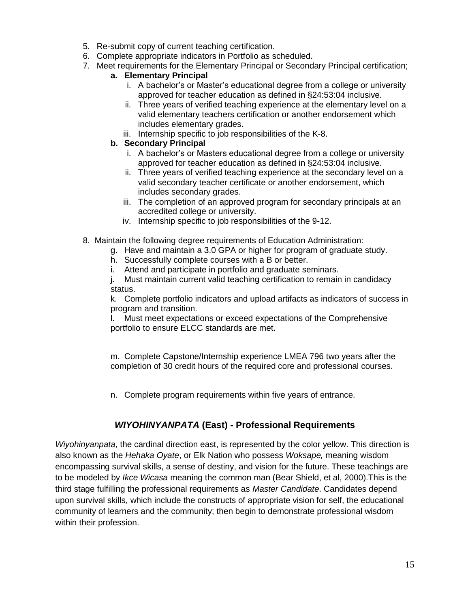- 5. Re-submit copy of current teaching certification.
- 6. Complete appropriate indicators in Portfolio as scheduled.
- 7. Meet requirements for the Elementary Principal or Secondary Principal certification;

#### **a. Elementary Principal**

- i. A bachelor's or Master's educational degree from a college or university approved for teacher education as defined in §24:53:04 inclusive.
- ii. Three years of verified teaching experience at the elementary level on a valid elementary teachers certification or another endorsement which includes elementary grades.
- iii. Internship specific to job responsibilities of the K-8.

#### **b. Secondary Principal**

- i. A bachelor's or Masters educational degree from a college or university approved for teacher education as defined in §24:53:04 inclusive.
- ii. Three years of verified teaching experience at the secondary level on a valid secondary teacher certificate or another endorsement, which includes secondary grades.
- iii. The completion of an approved program for secondary principals at an accredited college or university.
- iv. Internship specific to job responsibilities of the 9-12.
- 8. Maintain the following degree requirements of Education Administration:
	- g. Have and maintain a 3.0 GPA or higher for program of graduate study.
		- h. Successfully complete courses with a B or better.
		- i. Attend and participate in portfolio and graduate seminars.

j. Must maintain current valid teaching certification to remain in candidacy status.

k. Complete portfolio indicators and upload artifacts as indicators of success in program and transition.

l. Must meet expectations or exceed expectations of the Comprehensive portfolio to ensure ELCC standards are met.

m. Complete Capstone/Internship experience LMEA 796 two years after the completion of 30 credit hours of the required core and professional courses.

n. Complete program requirements within five years of entrance.

#### *WIYOHINYANPATA* **(East) - Professional Requirements**

*Wiyohinyanpata*, the cardinal direction east, is represented by the color yellow. This direction is also known as the *Hehaka Oyate*, or Elk Nation who possess *Woksape,* meaning wisdom encompassing survival skills, a sense of destiny, and vision for the future. These teachings are to be modeled by *Ikce Wicasa* meaning the common man (Bear Shield, et al, 2000).This is the third stage fulfilling the professional requirements as *Master Candidate*. Candidates depend upon survival skills, which include the constructs of appropriate vision for self, the educational community of learners and the community; then begin to demonstrate professional wisdom within their profession.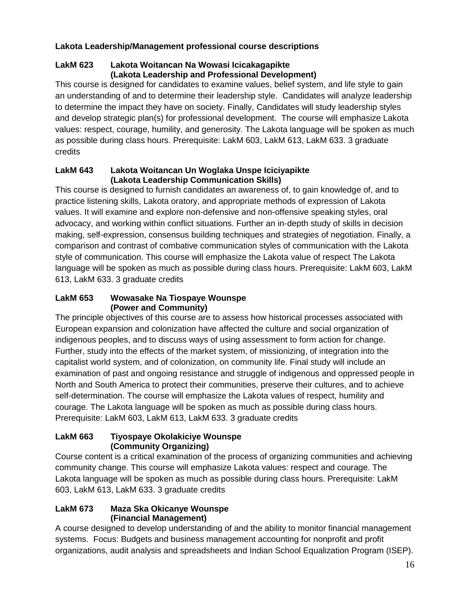#### **Lakota Leadership/Management professional course descriptions**

#### **LakM 623 Lakota Woitancan Na Wowasi Icicakagapikte (Lakota Leadership and Professional Development)**

This course is designed for candidates to examine values, belief system, and life style to gain an understanding of and to determine their leadership style. Candidates will analyze leadership to determine the impact they have on society. Finally, Candidates will study leadership styles and develop strategic plan(s) for professional development. The course will emphasize Lakota values: respect, courage, humility, and generosity. The Lakota language will be spoken as much as possible during class hours. Prerequisite: LakM 603, LakM 613, LakM 633. 3 graduate credits

#### **LakM 643 Lakota Woitancan Un Woglaka Unspe Iciciyapikte (Lakota Leadership Communication Skills)**

This course is designed to furnish candidates an awareness of, to gain knowledge of, and to practice listening skills, Lakota oratory, and appropriate methods of expression of Lakota values. It will examine and explore non-defensive and non-offensive speaking styles, oral advocacy, and working within conflict situations. Further an in-depth study of skills in decision making, self-expression, consensus building techniques and strategies of negotiation. Finally, a comparison and contrast of combative communication styles of communication with the Lakota style of communication. This course will emphasize the Lakota value of respect The Lakota language will be spoken as much as possible during class hours. Prerequisite: LakM 603, LakM 613, LakM 633. 3 graduate credits

#### **LakM 653 Wowasake Na Tiospaye Wounspe (Power and Community)**

The principle objectives of this course are to assess how historical processes associated with European expansion and colonization have affected the culture and social organization of indigenous peoples, and to discuss ways of using assessment to form action for change. Further, study into the effects of the market system, of missionizing, of integration into the capitalist world system, and of colonization, on community life. Final study will include an examination of past and ongoing resistance and struggle of indigenous and oppressed people in North and South America to protect their communities, preserve their cultures, and to achieve self-determination. The course will emphasize the Lakota values of respect, humility and courage. The Lakota language will be spoken as much as possible during class hours. Prerequisite: LakM 603, LakM 613, LakM 633. 3 graduate credits

#### **LakM 663 Tiyospaye Okolakiciye Wounspe (Community Organizing)**

Course content is a critical examination of the process of organizing communities and achieving community change. This course will emphasize Lakota values: respect and courage. The Lakota language will be spoken as much as possible during class hours. Prerequisite: LakM 603, LakM 613, LakM 633. 3 graduate credits

#### **LakM 673 Maza Ska Okicanye Wounspe (Financial Management)**

A course designed to develop understanding of and the ability to monitor financial management systems. Focus: Budgets and business management accounting for nonprofit and profit organizations, audit analysis and spreadsheets and Indian School Equalization Program (ISEP).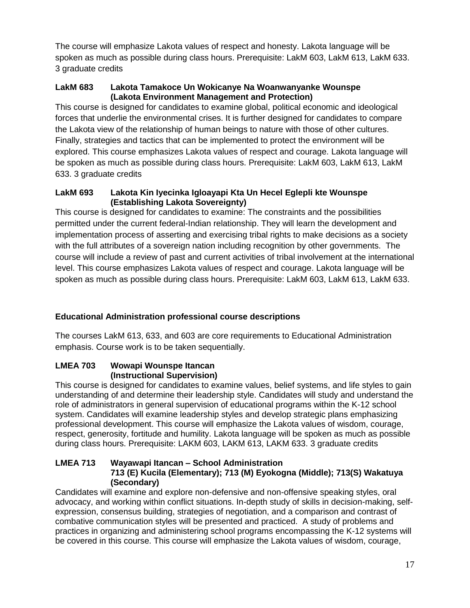The course will emphasize Lakota values of respect and honesty. Lakota language will be spoken as much as possible during class hours. Prerequisite: LakM 603, LakM 613, LakM 633. 3 graduate credits

#### **LakM 683 Lakota Tamakoce Un Wokicanye Na Woanwanyanke Wounspe (Lakota Environment Management and Protection)**

This course is designed for candidates to examine global, political economic and ideological forces that underlie the environmental crises. It is further designed for candidates to compare the Lakota view of the relationship of human beings to nature with those of other cultures. Finally, strategies and tactics that can be implemented to protect the environment will be explored. This course emphasizes Lakota values of respect and courage. Lakota language will be spoken as much as possible during class hours. Prerequisite: LakM 603, LakM 613, LakM 633. 3 graduate credits

#### **LakM 693 Lakota Kin Iyecinka Igloayapi Kta Un Hecel Eglepli kte Wounspe (Establishing Lakota Sovereignty)**

This course is designed for candidates to examine: The constraints and the possibilities permitted under the current federal-Indian relationship. They will learn the development and implementation process of asserting and exercising tribal rights to make decisions as a society with the full attributes of a sovereign nation including recognition by other governments. The course will include a review of past and current activities of tribal involvement at the international level. This course emphasizes Lakota values of respect and courage. Lakota language will be spoken as much as possible during class hours. Prerequisite: LakM 603, LakM 613, LakM 633.

#### **Educational Administration professional course descriptions**

The courses LakM 613, 633, and 603 are core requirements to Educational Administration emphasis. Course work is to be taken sequentially.

#### **LMEA 703 Wowapi Wounspe Itancan (Instructional Supervision)**

This course is designed for candidates to examine values, belief systems, and life styles to gain understanding of and determine their leadership style. Candidates will study and understand the role of administrators in general supervision of educational programs within the K-12 school system. Candidates will examine leadership styles and develop strategic plans emphasizing professional development. This course will emphasize the Lakota values of wisdom, courage, respect, generosity, fortitude and humility. Lakota language will be spoken as much as possible during class hours. Prerequisite: LAKM 603, LAKM 613, LAKM 633. 3 graduate credits

#### **LMEA 713 Wayawapi Itancan – School Administration 713 (E) Kucila (Elementary); 713 (M) Eyokogna (Middle); 713(S) Wakatuya (Secondary)**

Candidates will examine and explore non-defensive and non-offensive speaking styles, oral advocacy, and working within conflict situations. In-depth study of skills in decision-making, selfexpression, consensus building, strategies of negotiation, and a comparison and contrast of combative communication styles will be presented and practiced. A study of problems and practices in organizing and administering school programs encompassing the K-12 systems will be covered in this course. This course will emphasize the Lakota values of wisdom, courage,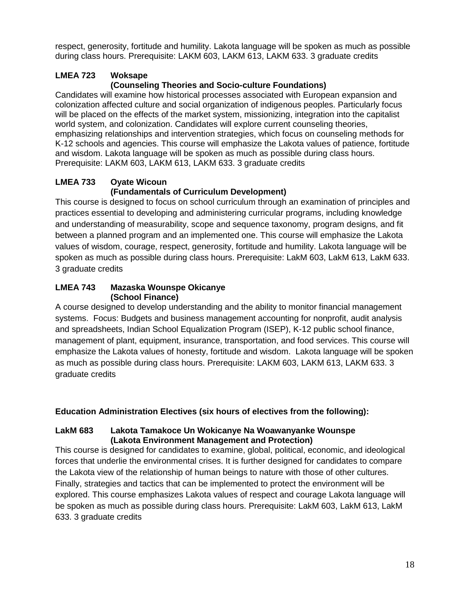respect, generosity, fortitude and humility. Lakota language will be spoken as much as possible during class hours. Prerequisite: LAKM 603, LAKM 613, LAKM 633. 3 graduate credits

## **LMEA 723 Woksape**

#### **(Counseling Theories and Socio-culture Foundations)**

Candidates will examine how historical processes associated with European expansion and colonization affected culture and social organization of indigenous peoples. Particularly focus will be placed on the effects of the market system, missionizing, integration into the capitalist world system, and colonization. Candidates will explore current counseling theories, emphasizing relationships and intervention strategies, which focus on counseling methods for K-12 schools and agencies. This course will emphasize the Lakota values of patience, fortitude and wisdom. Lakota language will be spoken as much as possible during class hours. Prerequisite: LAKM 603, LAKM 613, LAKM 633. 3 graduate credits

#### **LMEA 733 Oyate Wicoun (Fundamentals of Curriculum Development)**

This course is designed to focus on school curriculum through an examination of principles and practices essential to developing and administering curricular programs, including knowledge and understanding of measurability, scope and sequence taxonomy, program designs, and fit between a planned program and an implemented one. This course will emphasize the Lakota values of wisdom, courage, respect, generosity, fortitude and humility. Lakota language will be spoken as much as possible during class hours. Prerequisite: LakM 603, LakM 613, LakM 633. 3 graduate credits

#### **LMEA 743 Mazaska Wounspe Okicanye (School Finance)**

A course designed to develop understanding and the ability to monitor financial management systems. Focus: Budgets and business management accounting for nonprofit, audit analysis and spreadsheets, Indian School Equalization Program (ISEP), K-12 public school finance, management of plant, equipment, insurance, transportation, and food services. This course will emphasize the Lakota values of honesty, fortitude and wisdom. Lakota language will be spoken as much as possible during class hours. Prerequisite: LAKM 603, LAKM 613, LAKM 633. 3 graduate credits

#### **Education Administration Electives (six hours of electives from the following):**

#### **LakM 683 Lakota Tamakoce Un Wokicanye Na Woawanyanke Wounspe (Lakota Environment Management and Protection)**

This course is designed for candidates to examine, global, political, economic, and ideological forces that underlie the environmental crises. It is further designed for candidates to compare the Lakota view of the relationship of human beings to nature with those of other cultures. Finally, strategies and tactics that can be implemented to protect the environment will be explored. This course emphasizes Lakota values of respect and courage Lakota language will be spoken as much as possible during class hours. Prerequisite: LakM 603, LakM 613, LakM 633. 3 graduate credits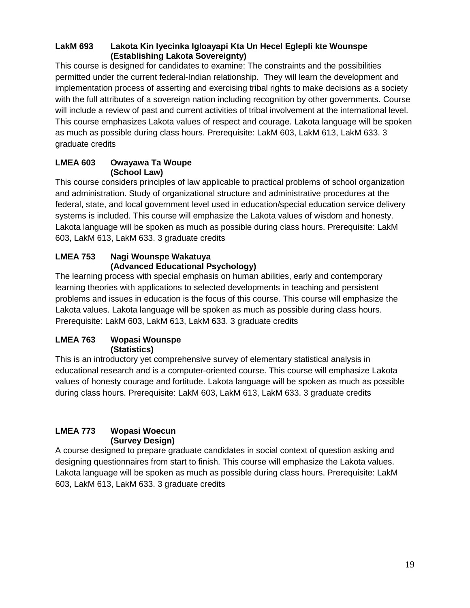#### **LakM 693 Lakota Kin Iyecinka Igloayapi Kta Un Hecel Eglepli kte Wounspe (Establishing Lakota Sovereignty)**

This course is designed for candidates to examine: The constraints and the possibilities permitted under the current federal-Indian relationship. They will learn the development and implementation process of asserting and exercising tribal rights to make decisions as a society with the full attributes of a sovereign nation including recognition by other governments. Course will include a review of past and current activities of tribal involvement at the international level. This course emphasizes Lakota values of respect and courage. Lakota language will be spoken as much as possible during class hours. Prerequisite: LakM 603, LakM 613, LakM 633. 3 graduate credits

#### **LMEA 603 Owayawa Ta Woupe (School Law)**

This course considers principles of law applicable to practical problems of school organization and administration. Study of organizational structure and administrative procedures at the federal, state, and local government level used in education/special education service delivery systems is included. This course will emphasize the Lakota values of wisdom and honesty. Lakota language will be spoken as much as possible during class hours. Prerequisite: LakM 603, LakM 613, LakM 633. 3 graduate credits

#### **LMEA 753 Nagi Wounspe Wakatuya (Advanced Educational Psychology)**

The learning process with special emphasis on human abilities, early and contemporary learning theories with applications to selected developments in teaching and persistent problems and issues in education is the focus of this course. This course will emphasize the Lakota values. Lakota language will be spoken as much as possible during class hours. Prerequisite: LakM 603, LakM 613, LakM 633. 3 graduate credits

#### **LMEA 763 Wopasi Wounspe (Statistics)**

This is an introductory yet comprehensive survey of elementary statistical analysis in educational research and is a computer-oriented course. This course will emphasize Lakota values of honesty courage and fortitude. Lakota language will be spoken as much as possible during class hours. Prerequisite: LakM 603, LakM 613, LakM 633. 3 graduate credits

#### **LMEA 773 Wopasi Woecun (Survey Design)**

A course designed to prepare graduate candidates in social context of question asking and designing questionnaires from start to finish. This course will emphasize the Lakota values. Lakota language will be spoken as much as possible during class hours. Prerequisite: LakM 603, LakM 613, LakM 633. 3 graduate credits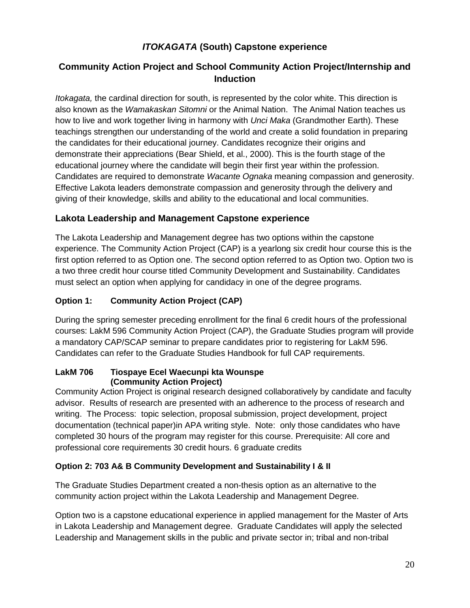### *ITOKAGATA* **(South) Capstone experience**

### **Community Action Project and School Community Action Project/Internship and Induction**

*Itokagata,* the cardinal direction for south, is represented by the color white. This direction is also known as the *Wamakaskan Sitomni* or the Animal Nation. The Animal Nation teaches us how to live and work together living in harmony with *Unci Maka* (Grandmother Earth). These teachings strengthen our understanding of the world and create a solid foundation in preparing the candidates for their educational journey. Candidates recognize their origins and demonstrate their appreciations (Bear Shield, et al., 2000). This is the fourth stage of the educational journey where the candidate will begin their first year within the profession. Candidates are required to demonstrate *Wacante Ognaka* meaning compassion and generosity. Effective Lakota leaders demonstrate compassion and generosity through the delivery and giving of their knowledge, skills and ability to the educational and local communities.

#### **Lakota Leadership and Management Capstone experience**

The Lakota Leadership and Management degree has two options within the capstone experience. The Community Action Project (CAP) is a yearlong six credit hour course this is the first option referred to as Option one. The second option referred to as Option two. Option two is a two three credit hour course titled Community Development and Sustainability. Candidates must select an option when applying for candidacy in one of the degree programs.

#### **Option 1: Community Action Project (CAP)**

During the spring semester preceding enrollment for the final 6 credit hours of the professional courses: LakM 596 Community Action Project (CAP), the Graduate Studies program will provide a mandatory CAP/SCAP seminar to prepare candidates prior to registering for LakM 596. Candidates can refer to the Graduate Studies Handbook for full CAP requirements.

#### **LakM 706 Tiospaye Ecel Waecunpi kta Wounspe (Community Action Project)**

Community Action Project is original research designed collaboratively by candidate and faculty advisor. Results of research are presented with an adherence to the process of research and writing. The Process: topic selection, proposal submission, project development, project documentation (technical paper)in APA writing style. Note: only those candidates who have completed 30 hours of the program may register for this course. Prerequisite: All core and professional core requirements 30 credit hours. 6 graduate credits

#### **Option 2: 703 A& B Community Development and Sustainability I & II**

The Graduate Studies Department created a non-thesis option as an alternative to the community action project within the Lakota Leadership and Management Degree.

Option two is a capstone educational experience in applied management for the Master of Arts in Lakota Leadership and Management degree. Graduate Candidates will apply the selected Leadership and Management skills in the public and private sector in; tribal and non-tribal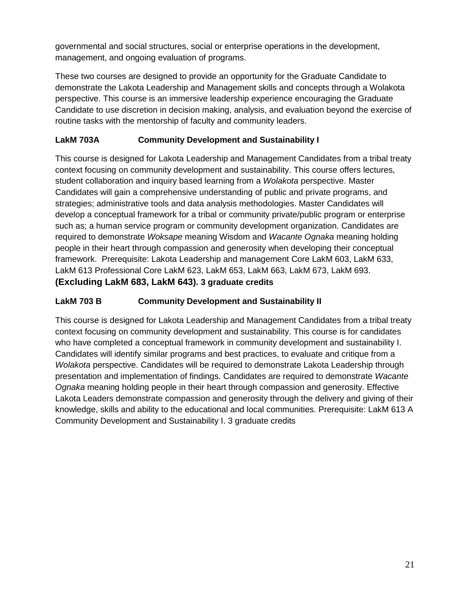governmental and social structures, social or enterprise operations in the development, management, and ongoing evaluation of programs.

These two courses are designed to provide an opportunity for the Graduate Candidate to demonstrate the Lakota Leadership and Management skills and concepts through a Wolakota perspective. This course is an immersive leadership experience encouraging the Graduate Candidate to use discretion in decision making, analysis, and evaluation beyond the exercise of routine tasks with the mentorship of faculty and community leaders.

#### **LakM 703A Community Development and Sustainability I**

This course is designed for Lakota Leadership and Management Candidates from a tribal treaty context focusing on community development and sustainability. This course offers lectures, student collaboration and inquiry based learning from a *Wolakota* perspective. Master Candidates will gain a comprehensive understanding of public and private programs, and strategies; administrative tools and data analysis methodologies. Master Candidates will develop a conceptual framework for a tribal or community private/public program or enterprise such as; a human service program or community development organization. Candidates are required to demonstrate *Woksape* meaning Wisdom and *Wacante Ognaka* meaning holding people in their heart through compassion and generosity when developing their conceptual framework. Prerequisite: Lakota Leadership and management Core LakM 603, LakM 633, LakM 613 Professional Core LakM 623, LakM 653, LakM 663, LakM 673, LakM 693. **(Excluding LakM 683, LakM 643). 3 graduate credits**

#### **LakM 703 B Community Development and Sustainability II**

This course is designed for Lakota Leadership and Management Candidates from a tribal treaty context focusing on community development and sustainability. This course is for candidates who have completed a conceptual framework in community development and sustainability I. Candidates will identify similar programs and best practices, to evaluate and critique from a *Wolakota* perspective. Candidates will be required to demonstrate Lakota Leadership through presentation and implementation of findings. Candidates are required to demonstrate *Wacante Ognaka* meaning holding people in their heart through compassion and generosity. Effective Lakota Leaders demonstrate compassion and generosity through the delivery and giving of their knowledge, skills and ability to the educational and local communities. Prerequisite: LakM 613 A Community Development and Sustainability I. 3 graduate credits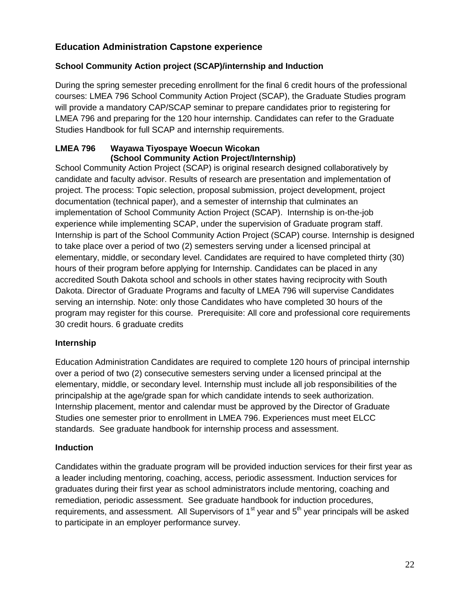#### **Education Administration Capstone experience**

#### **School Community Action project (SCAP)/internship and Induction**

During the spring semester preceding enrollment for the final 6 credit hours of the professional courses: LMEA 796 School Community Action Project (SCAP), the Graduate Studies program will provide a mandatory CAP/SCAP seminar to prepare candidates prior to registering for LMEA 796 and preparing for the 120 hour internship. Candidates can refer to the Graduate Studies Handbook for full SCAP and internship requirements.

#### **LMEA 796 Wayawa Tiyospaye Woecun Wicokan (School Community Action Project/Internship)**

School Community Action Project (SCAP) is original research designed collaboratively by candidate and faculty advisor. Results of research are presentation and implementation of project. The process: Topic selection, proposal submission, project development, project documentation (technical paper), and a semester of internship that culminates an implementation of School Community Action Project (SCAP). Internship is on-the-job experience while implementing SCAP, under the supervision of Graduate program staff. Internship is part of the School Community Action Project (SCAP) course. Internship is designed to take place over a period of two (2) semesters serving under a licensed principal at elementary, middle, or secondary level. Candidates are required to have completed thirty (30) hours of their program before applying for Internship. Candidates can be placed in any accredited South Dakota school and schools in other states having reciprocity with South Dakota. Director of Graduate Programs and faculty of LMEA 796 will supervise Candidates serving an internship. Note: only those Candidates who have completed 30 hours of the program may register for this course. Prerequisite: All core and professional core requirements 30 credit hours. 6 graduate credits

#### **Internship**

Education Administration Candidates are required to complete 120 hours of principal internship over a period of two (2) consecutive semesters serving under a licensed principal at the elementary, middle, or secondary level. Internship must include all job responsibilities of the principalship at the age/grade span for which candidate intends to seek authorization. Internship placement, mentor and calendar must be approved by the Director of Graduate Studies one semester prior to enrollment in LMEA 796. Experiences must meet ELCC standards. See graduate handbook for internship process and assessment.

#### **Induction**

Candidates within the graduate program will be provided induction services for their first year as a leader including mentoring, coaching, access, periodic assessment. Induction services for graduates during their first year as school administrators include mentoring, coaching and remediation, periodic assessment. See graduate handbook for induction procedures, requirements, and assessment. All Supervisors of  $1<sup>st</sup>$  year and  $5<sup>th</sup>$  year principals will be asked to participate in an employer performance survey.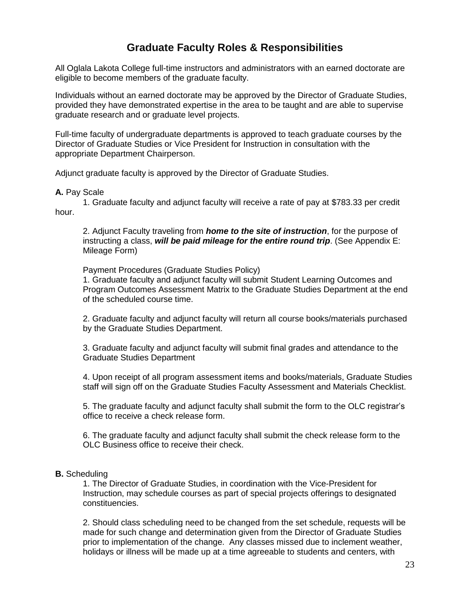# **Graduate Faculty Roles & Responsibilities**

All Oglala Lakota College full-time instructors and administrators with an earned doctorate are eligible to become members of the graduate faculty.

Individuals without an earned doctorate may be approved by the Director of Graduate Studies, provided they have demonstrated expertise in the area to be taught and are able to supervise graduate research and or graduate level projects.

Full-time faculty of undergraduate departments is approved to teach graduate courses by the Director of Graduate Studies or Vice President for Instruction in consultation with the appropriate Department Chairperson.

Adjunct graduate faculty is approved by the Director of Graduate Studies.

#### **A.** Pay Scale

1. Graduate faculty and adjunct faculty will receive a rate of pay at \$783.33 per credit hour.

2. Adjunct Faculty traveling from *home to the site of instruction*, for the purpose of instructing a class, *will be paid mileage for the entire round trip*. (See Appendix E: Mileage Form)

Payment Procedures (Graduate Studies Policy)

1. Graduate faculty and adjunct faculty will submit Student Learning Outcomes and Program Outcomes Assessment Matrix to the Graduate Studies Department at the end of the scheduled course time.

2. Graduate faculty and adjunct faculty will return all course books/materials purchased by the Graduate Studies Department.

3. Graduate faculty and adjunct faculty will submit final grades and attendance to the Graduate Studies Department

4. Upon receipt of all program assessment items and books/materials, Graduate Studies staff will sign off on the Graduate Studies Faculty Assessment and Materials Checklist.

5. The graduate faculty and adjunct faculty shall submit the form to the OLC registrar's office to receive a check release form.

6. The graduate faculty and adjunct faculty shall submit the check release form to the OLC Business office to receive their check.

#### **B.** Scheduling

1. The Director of Graduate Studies, in coordination with the Vice-President for Instruction, may schedule courses as part of special projects offerings to designated constituencies.

2. Should class scheduling need to be changed from the set schedule, requests will be made for such change and determination given from the Director of Graduate Studies prior to implementation of the change. Any classes missed due to inclement weather, holidays or illness will be made up at a time agreeable to students and centers, with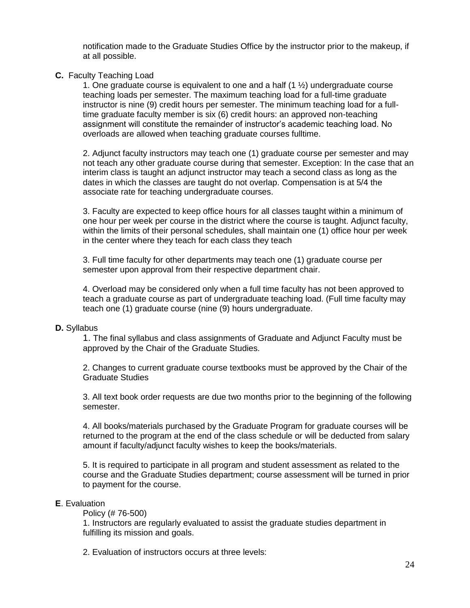notification made to the Graduate Studies Office by the instructor prior to the makeup, if at all possible.

#### **C.** Faculty Teaching Load

1. One graduate course is equivalent to one and a half (1 ½) undergraduate course teaching loads per semester. The maximum teaching load for a full-time graduate instructor is nine (9) credit hours per semester. The minimum teaching load for a fulltime graduate faculty member is six (6) credit hours: an approved non-teaching assignment will constitute the remainder of instructor's academic teaching load. No overloads are allowed when teaching graduate courses fulltime.

2. Adjunct faculty instructors may teach one (1) graduate course per semester and may not teach any other graduate course during that semester. Exception: In the case that an interim class is taught an adjunct instructor may teach a second class as long as the dates in which the classes are taught do not overlap. Compensation is at 5/4 the associate rate for teaching undergraduate courses.

3. Faculty are expected to keep office hours for all classes taught within a minimum of one hour per week per course in the district where the course is taught. Adjunct faculty, within the limits of their personal schedules, shall maintain one (1) office hour per week in the center where they teach for each class they teach

3. Full time faculty for other departments may teach one (1) graduate course per semester upon approval from their respective department chair.

4. Overload may be considered only when a full time faculty has not been approved to teach a graduate course as part of undergraduate teaching load. (Full time faculty may teach one (1) graduate course (nine (9) hours undergraduate.

#### **D.** Syllabus

1. The final syllabus and class assignments of Graduate and Adjunct Faculty must be approved by the Chair of the Graduate Studies.

2. Changes to current graduate course textbooks must be approved by the Chair of the Graduate Studies

3. All text book order requests are due two months prior to the beginning of the following semester.

4. All books/materials purchased by the Graduate Program for graduate courses will be returned to the program at the end of the class schedule or will be deducted from salary amount if faculty/adjunct faculty wishes to keep the books/materials.

5. It is required to participate in all program and student assessment as related to the course and the Graduate Studies department; course assessment will be turned in prior to payment for the course.

#### **E**. Evaluation

Policy (# 76-500)

1. Instructors are regularly evaluated to assist the graduate studies department in fulfilling its mission and goals.

2. Evaluation of instructors occurs at three levels: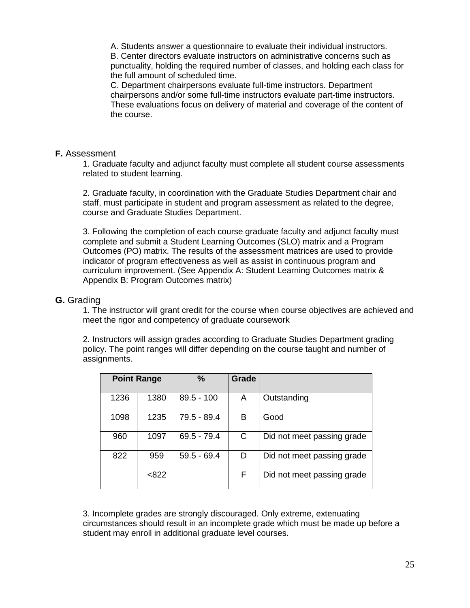A. Students answer a questionnaire to evaluate their individual instructors. B. Center directors evaluate instructors on administrative concerns such as punctuality, holding the required number of classes, and holding each class for the full amount of scheduled time.

C. Department chairpersons evaluate full-time instructors. Department chairpersons and/or some full-time instructors evaluate part-time instructors. These evaluations focus on delivery of material and coverage of the content of the course.

#### **F.** Assessment

1. Graduate faculty and adjunct faculty must complete all student course assessments related to student learning.

2. Graduate faculty, in coordination with the Graduate Studies Department chair and staff, must participate in student and program assessment as related to the degree, course and Graduate Studies Department.

3. Following the completion of each course graduate faculty and adjunct faculty must complete and submit a Student Learning Outcomes (SLO) matrix and a Program Outcomes (PO) matrix. The results of the assessment matrices are used to provide indicator of program effectiveness as well as assist in continuous program and curriculum improvement. (See Appendix A: Student Learning Outcomes matrix & Appendix B: Program Outcomes matrix)

#### **G.** Grading

1. The instructor will grant credit for the course when course objectives are achieved and meet the rigor and competency of graduate coursework

2. Instructors will assign grades according to Graduate Studies Department grading policy. The point ranges will differ depending on the course taught and number of assignments.

|      | <b>Point Range</b> | $\%$          | Grade |                            |
|------|--------------------|---------------|-------|----------------------------|
| 1236 | 1380               | $89.5 - 100$  | A     | Outstanding                |
| 1098 | 1235               | 79.5 - 89.4   | в     | Good                       |
| 960  | 1097               | $69.5 - 79.4$ | C     | Did not meet passing grade |
| 822  | 959                | $59.5 - 69.4$ | D     | Did not meet passing grade |
|      | < 822              |               | F.    | Did not meet passing grade |

3. Incomplete grades are strongly discouraged. Only extreme, extenuating circumstances should result in an incomplete grade which must be made up before a student may enroll in additional graduate level courses.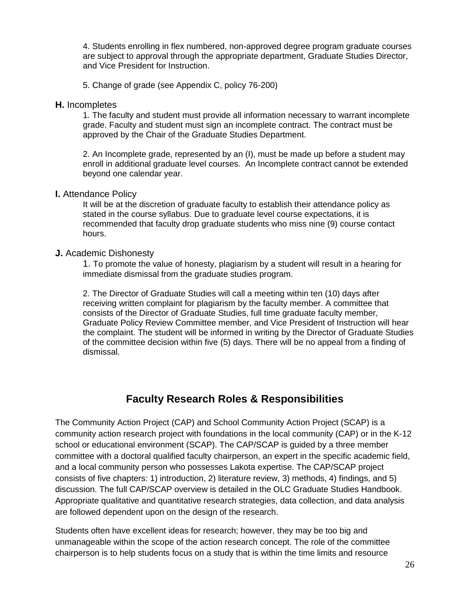4. Students enrolling in flex numbered, non-approved degree program graduate courses are subject to approval through the appropriate department, Graduate Studies Director, and Vice President for Instruction.

5. Change of grade (see Appendix C, policy 76-200)

#### **H.** Incompletes

1. The faculty and student must provide all information necessary to warrant incomplete grade. Faculty and student must sign an incomplete contract. The contract must be approved by the Chair of the Graduate Studies Department.

2. An Incomplete grade, represented by an (I), must be made up before a student may enroll in additional graduate level courses. An Incomplete contract cannot be extended beyond one calendar year.

#### **I.** Attendance Policy

It will be at the discretion of graduate faculty to establish their attendance policy as stated in the course syllabus. Due to graduate level course expectations, it is recommended that faculty drop graduate students who miss nine (9) course contact hours.

#### **J.** Academic Dishonesty

1. To promote the value of honesty, plagiarism by a student will result in a hearing for immediate dismissal from the graduate studies program.

2. The Director of Graduate Studies will call a meeting within ten (10) days after receiving written complaint for plagiarism by the faculty member. A committee that consists of the Director of Graduate Studies, full time graduate faculty member, Graduate Policy Review Committee member, and Vice President of Instruction will hear the complaint. The student will be informed in writing by the Director of Graduate Studies of the committee decision within five (5) days. There will be no appeal from a finding of dismissal.

#### **Faculty Research Roles & Responsibilities**

The Community Action Project (CAP) and School Community Action Project (SCAP) is a community action research project with foundations in the local community (CAP) or in the K-12 school or educational environment (SCAP). The CAP/SCAP is guided by a three member committee with a doctoral qualified faculty chairperson, an expert in the specific academic field, and a local community person who possesses Lakota expertise. The CAP/SCAP project consists of five chapters: 1) introduction, 2) literature review, 3) methods, 4) findings, and 5) discussion. The full CAP/SCAP overview is detailed in the OLC Graduate Studies Handbook. Appropriate qualitative and quantitative research strategies, data collection, and data analysis are followed dependent upon on the design of the research.

Students often have excellent ideas for research; however, they may be too big and unmanageable within the scope of the action research concept. The role of the committee chairperson is to help students focus on a study that is within the time limits and resource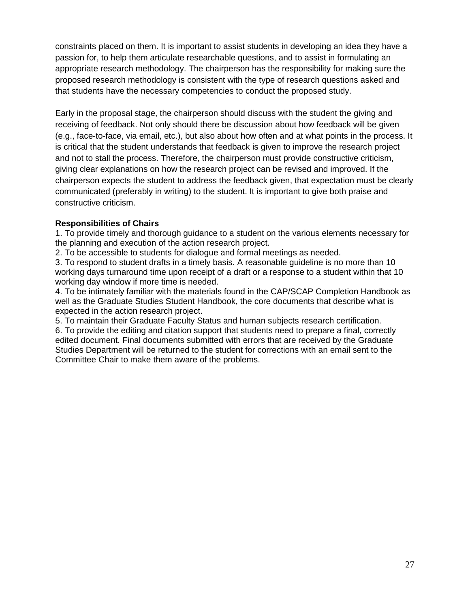constraints placed on them. It is important to assist students in developing an idea they have a passion for, to help them articulate researchable questions, and to assist in formulating an appropriate research methodology. The chairperson has the responsibility for making sure the proposed research methodology is consistent with the type of research questions asked and that students have the necessary competencies to conduct the proposed study.

Early in the proposal stage, the chairperson should discuss with the student the giving and receiving of feedback. Not only should there be discussion about how feedback will be given (e.g., face-to-face, via email, etc.), but also about how often and at what points in the process. It is critical that the student understands that feedback is given to improve the research project and not to stall the process. Therefore, the chairperson must provide constructive criticism, giving clear explanations on how the research project can be revised and improved. If the chairperson expects the student to address the feedback given, that expectation must be clearly communicated (preferably in writing) to the student. It is important to give both praise and constructive criticism.

#### **Responsibilities of Chairs**

1. To provide timely and thorough guidance to a student on the various elements necessary for the planning and execution of the action research project.

2. To be accessible to students for dialogue and formal meetings as needed.

3. To respond to student drafts in a timely basis. A reasonable guideline is no more than 10 working days turnaround time upon receipt of a draft or a response to a student within that 10 working day window if more time is needed.

4. To be intimately familiar with the materials found in the CAP/SCAP Completion Handbook as well as the Graduate Studies Student Handbook, the core documents that describe what is expected in the action research project.

5. To maintain their Graduate Faculty Status and human subjects research certification. 6. To provide the editing and citation support that students need to prepare a final, correctly edited document. Final documents submitted with errors that are received by the Graduate Studies Department will be returned to the student for corrections with an email sent to the Committee Chair to make them aware of the problems.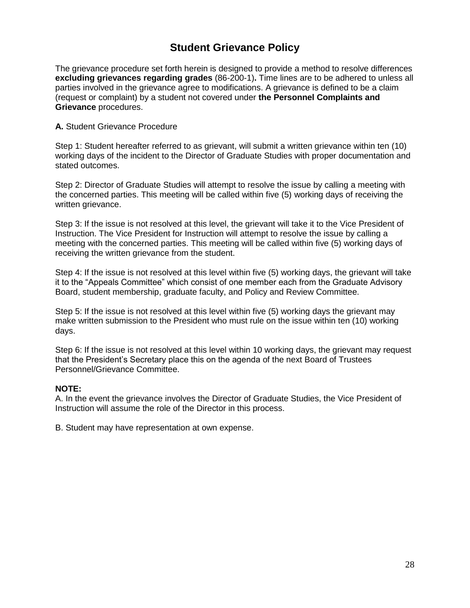# **Student Grievance Policy**

The grievance procedure set forth herein is designed to provide a method to resolve differences **excluding grievances regarding grades** (86-200-1)**.** Time lines are to be adhered to unless all parties involved in the grievance agree to modifications. A grievance is defined to be a claim (request or complaint) by a student not covered under **the Personnel Complaints and Grievance** procedures.

#### **A.** Student Grievance Procedure

Step 1: Student hereafter referred to as grievant, will submit a written grievance within ten (10) working days of the incident to the Director of Graduate Studies with proper documentation and stated outcomes.

Step 2: Director of Graduate Studies will attempt to resolve the issue by calling a meeting with the concerned parties. This meeting will be called within five (5) working days of receiving the written grievance.

Step 3: If the issue is not resolved at this level, the grievant will take it to the Vice President of Instruction. The Vice President for Instruction will attempt to resolve the issue by calling a meeting with the concerned parties. This meeting will be called within five (5) working days of receiving the written grievance from the student.

Step 4: If the issue is not resolved at this level within five (5) working days, the grievant will take it to the "Appeals Committee" which consist of one member each from the Graduate Advisory Board, student membership, graduate faculty, and Policy and Review Committee.

Step 5: If the issue is not resolved at this level within five (5) working days the grievant may make written submission to the President who must rule on the issue within ten (10) working days.

Step 6: If the issue is not resolved at this level within 10 working days, the grievant may request that the President's Secretary place this on the agenda of the next Board of Trustees Personnel/Grievance Committee.

#### **NOTE:**

A. In the event the grievance involves the Director of Graduate Studies, the Vice President of Instruction will assume the role of the Director in this process.

B. Student may have representation at own expense.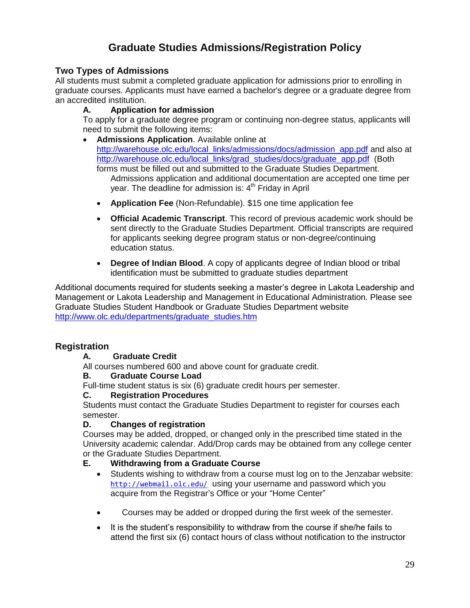# **Graduate Studies Admissions/Registration Policy**

#### **Two Types of Admissions**

All students must submit a completed graduate application for admissions prior to enrolling in graduate courses. Applicants must have earned a bachelor's degree or a graduate degree from an accredited institution.

#### **A. Application for admission**

To apply for a graduate degree program or continuing non-degree status, applicants will need to submit the following items:

- **Admissions Application**. Available online at [http://warehouse.olc.edu/local\\_links/admissions/docs/admission\\_app.pdf](http://warehouse.olc.edu/local_links/admissions/docs/admission_app.pdf) and also at [http://warehouse.olc.edu/local\\_links/grad\\_studies/docs/graduate\\_app.pdf](http://warehouse.olc.edu/local_links/grad_studies/docs/graduate_app.pdf) (Both forms must be filled out and submitted to the Graduate Studies Department. Admissions application and additional documentation are accepted one time per year. The deadline for admission is:  $4<sup>th</sup>$  Friday in April
	- **Application Fee** (Non-Refundable). \$15 one time application fee
	- **Official Academic Transcript**. This record of previous academic work should be sent directly to the Graduate Studies Department. Official transcripts are required for applicants seeking degree program status or non-degree/continuing education status.
	- **Degree of Indian Blood**. A copy of applicants degree of Indian blood or tribal identification must be submitted to graduate studies department

Additional documents required for students seeking a master's degree in Lakota Leadership and Management or Lakota Leadership and Management in Educational Administration. Please see Graduate Studies Student Handbook or Graduate Studies Department website [http://www.olc.edu/departments/graduate\\_studies.htm](http://www.olc.edu/departments/graduate_studies.htm)

#### **Registration**

#### **A. Graduate Credit**

All courses numbered 600 and above count for graduate credit.

#### **B. Graduate Course Load**

Full-time student status is six (6) graduate credit hours per semester.

#### **C. Registration Procedures**

Students must contact the Graduate Studies Department to register for courses each semester.

#### **D. Changes of registration**

Courses may be added, dropped, or changed only in the prescribed time stated in the University academic calendar. Add/Drop cards may be obtained from any college center or the Graduate Studies Department.

#### **E. Withdrawing from a Graduate Course**

- Students wishing to withdraw from a course must log on to the Jenzabar website: http://webmail.olc.edu/ using your username and password which you acquire from the Registrar's Office or your "Home Center"
- Courses may be added or dropped during the first week of the semester.
- It is the student's responsibility to withdraw from the course if she/he fails to attend the first six (6) contact hours of class without notification to the instructor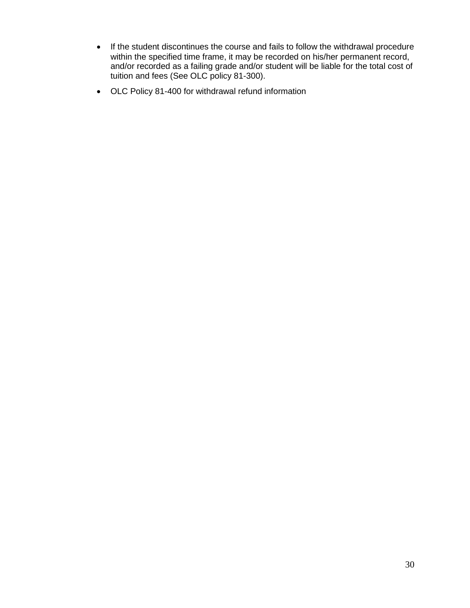- If the student discontinues the course and fails to follow the withdrawal procedure within the specified time frame, it may be recorded on his/her permanent record, and/or recorded as a failing grade and/or student will be liable for the total cost of tuition and fees (See OLC policy 81-300).
- OLC Policy 81-400 for withdrawal refund information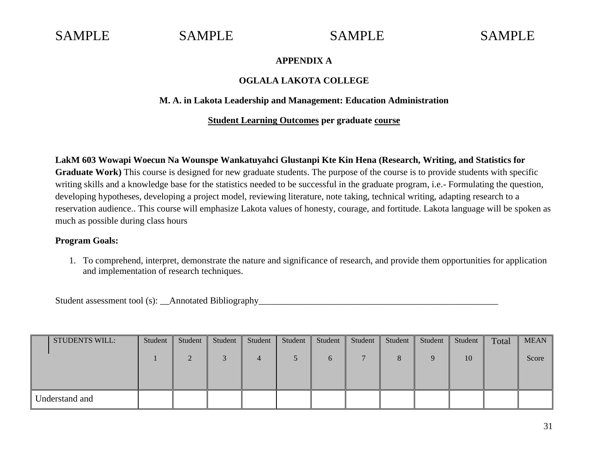#### **APPENDIX A**

#### **OGLALA LAKOTA COLLEGE**

#### **M. A. in Lakota Leadership and Management: Education Administration**

#### **Student Learning Outcomes per graduate course**

**LakM 603 Wowapi Woecun Na Wounspe Wankatuyahci Glustanpi Kte Kin Hena (Research, Writing, and Statistics for Graduate Work)** This course is designed for new graduate students. The purpose of the course is to provide students with specific writing skills and a knowledge base for the statistics needed to be successful in the graduate program, i.e.- Formulating the question, developing hypotheses, developing a project model, reviewing literature, note taking, technical writing, adapting research to a reservation audience.. This course will emphasize Lakota values of honesty, courage, and fortitude. Lakota language will be spoken as much as possible during class hours

#### **Program Goals:**

1. To comprehend, interpret, demonstrate the nature and significance of research, and provide them opportunities for application and implementation of research techniques.

Student assessment tool (s): \_\_Annotated Bibliography\_\_\_\_\_\_\_\_\_\_\_\_\_\_\_\_\_\_\_\_\_\_\_\_\_\_\_

| <b>STUDENTS WILL:</b> | Student | Student | Student | Student        | Student | Student  | Student | Student | Student | Student | Total | <b>MEAN</b> |
|-----------------------|---------|---------|---------|----------------|---------|----------|---------|---------|---------|---------|-------|-------------|
|                       |         |         |         | $\overline{a}$ |         | $\sigma$ |         |         |         | 10      |       | Score       |
|                       |         |         |         |                |         |          |         |         |         |         |       |             |
| Understand and        |         |         |         |                |         |          |         |         |         |         |       |             |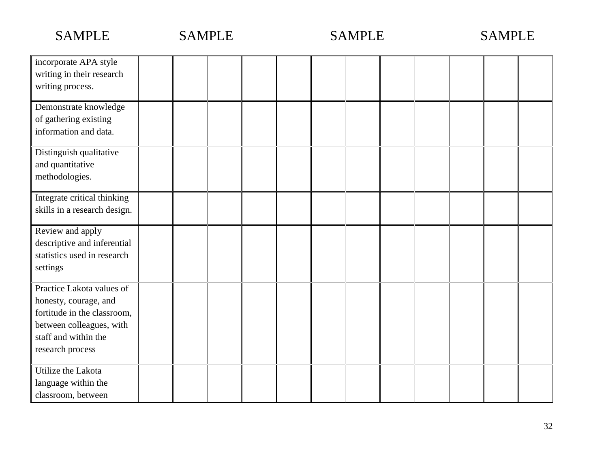| incorporate APA style<br>writing in their research<br>writing process.                                                                                    |  |  |  |  |  |  |
|-----------------------------------------------------------------------------------------------------------------------------------------------------------|--|--|--|--|--|--|
| Demonstrate knowledge<br>of gathering existing<br>information and data.                                                                                   |  |  |  |  |  |  |
| Distinguish qualitative<br>and quantitative<br>methodologies.                                                                                             |  |  |  |  |  |  |
| Integrate critical thinking<br>skills in a research design.                                                                                               |  |  |  |  |  |  |
| Review and apply<br>descriptive and inferential<br>statistics used in research<br>settings                                                                |  |  |  |  |  |  |
| Practice Lakota values of<br>honesty, courage, and<br>fortitude in the classroom,<br>between colleagues, with<br>staff and within the<br>research process |  |  |  |  |  |  |
| Utilize the Lakota<br>language within the<br>classroom, between                                                                                           |  |  |  |  |  |  |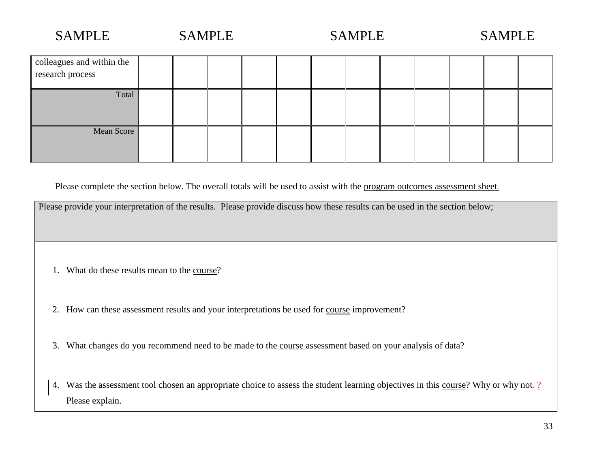| colleagues and within the<br>research process |  |  |  |  |  |  |
|-----------------------------------------------|--|--|--|--|--|--|
| Total                                         |  |  |  |  |  |  |
| Mean Score                                    |  |  |  |  |  |  |

Please complete the section below. The overall totals will be used to assist with the program outcomes assessment sheet.

|    | Please provide your interpretation of the results. Please provide discuss how these results can be used in the section below;  |
|----|--------------------------------------------------------------------------------------------------------------------------------|
|    |                                                                                                                                |
|    |                                                                                                                                |
|    |                                                                                                                                |
|    |                                                                                                                                |
|    |                                                                                                                                |
|    | What do these results mean to the course?                                                                                      |
|    |                                                                                                                                |
|    |                                                                                                                                |
|    |                                                                                                                                |
| 2. | How can these assessment results and your interpretations be used for course improvement?                                      |
|    |                                                                                                                                |
|    |                                                                                                                                |
|    |                                                                                                                                |
| 3. | What changes do you recommend need to be made to the <u>course</u> assessment based on your analysis of data?                  |
|    |                                                                                                                                |
|    |                                                                                                                                |
|    |                                                                                                                                |
| 4. | Was the assessment tool chosen an appropriate choice to assess the student learning objectives in this course? Why or why not- |
|    | Please explain.                                                                                                                |
|    |                                                                                                                                |
|    |                                                                                                                                |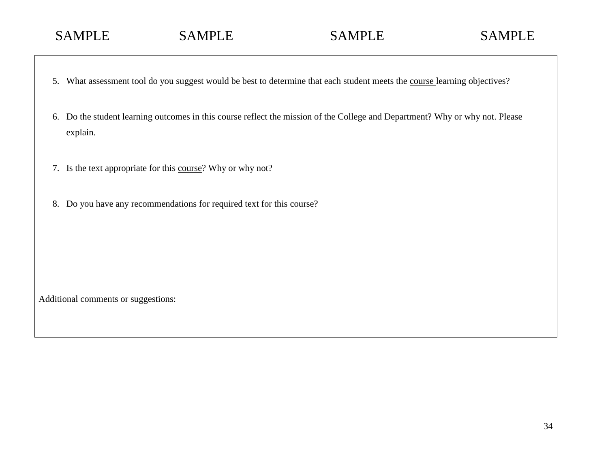- 5. What assessment tool do you suggest would be best to determine that each student meets the course learning objectives?
- 6. Do the student learning outcomes in this course reflect the mission of the College and Department? Why or why not. Please explain.
- 7. Is the text appropriate for this course? Why or why not?
- 8. Do you have any recommendations for required text for this course?

Additional comments or suggestions: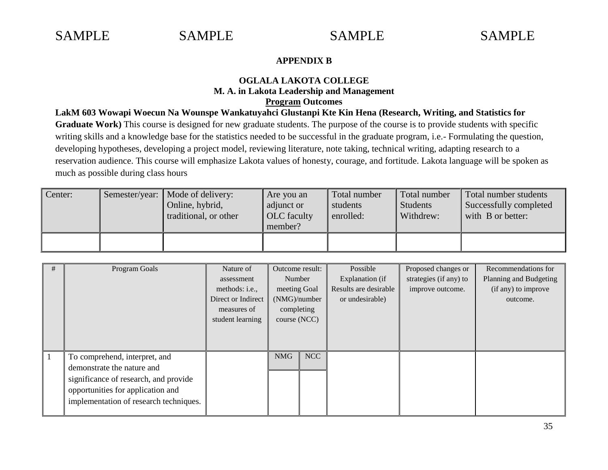#### **APPENDIX B**

#### **OGLALA LAKOTA COLLEGE M. A. in Lakota Leadership and Management Program Outcomes**

**LakM 603 Wowapi Woecun Na Wounspe Wankatuyahci Glustanpi Kte Kin Hena (Research, Writing, and Statistics for Graduate Work)** This course is designed for new graduate students. The purpose of the course is to provide students with specific writing skills and a knowledge base for the statistics needed to be successful in the graduate program, i.e.- Formulating the question, developing hypotheses, developing a project model, reviewing literature, note taking, technical writing, adapting research to a reservation audience. This course will emphasize Lakota values of honesty, courage, and fortitude. Lakota language will be spoken as much as possible during class hours

| Center: | Semester/year:   Mode of delivery:<br>Online, hybrid,<br>traditional, or other | Are you an<br>adjunct or<br><b>OLC</b> faculty<br>member? | Total number<br>students<br>enrolled: | Total number<br>Students<br>Withdrew: | Total number students<br>Successfully completed<br>with B or better: |
|---------|--------------------------------------------------------------------------------|-----------------------------------------------------------|---------------------------------------|---------------------------------------|----------------------------------------------------------------------|
|         |                                                                                |                                                           |                                       |                                       |                                                                      |

| #              | Program Goals                          | Nature of              | Outcome result: |     | Possible              | Proposed changes or    | Recommendations for    |
|----------------|----------------------------------------|------------------------|-----------------|-----|-----------------------|------------------------|------------------------|
|                |                                        | assessment             | Number          |     | Explanation (if       | strategies (if any) to | Planning and Budgeting |
|                |                                        | methods: <i>i.e.</i> , | meeting Goal    |     | Results are desirable | improve outcome.       | (if any) to improve    |
|                |                                        | Direct or Indirect     | (NMG)/number    |     | or undesirable)       |                        | outcome.               |
|                |                                        | measures of            | completing      |     |                       |                        |                        |
|                |                                        | student learning       | course (NCC)    |     |                       |                        |                        |
|                |                                        |                        |                 |     |                       |                        |                        |
|                |                                        |                        |                 |     |                       |                        |                        |
| $\blacksquare$ | To comprehend, interpret, and          |                        | <b>NMG</b>      | NCC |                       |                        |                        |
|                | demonstrate the nature and             |                        |                 |     |                       |                        |                        |
|                | significance of research, and provide  |                        |                 |     |                       |                        |                        |
|                | opportunities for application and      |                        |                 |     |                       |                        |                        |
|                | implementation of research techniques. |                        |                 |     |                       |                        |                        |
|                |                                        |                        |                 |     |                       |                        |                        |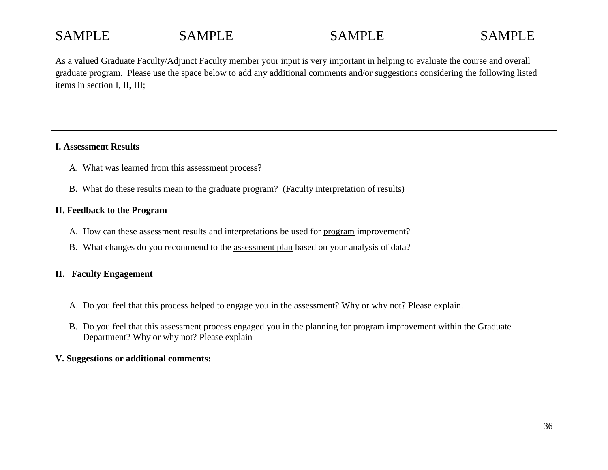As a valued Graduate Faculty/Adjunct Faculty member your input is very important in helping to evaluate the course and overall graduate program. Please use the space below to add any additional comments and/or suggestions considering the following listed items in section I, II, III;

#### **I. Assessment Results**

- A. What was learned from this assessment process?
- B. What do these results mean to the graduate program? (Faculty interpretation of results)

#### **II. Feedback to the Program**

- A. How can these assessment results and interpretations be used for program improvement?
- B. What changes do you recommend to the assessment plan based on your analysis of data?

#### **II. Faculty Engagement**

- A. Do you feel that this process helped to engage you in the assessment? Why or why not? Please explain.
- B. Do you feel that this assessment process engaged you in the planning for program improvement within the Graduate Department? Why or why not? Please explain

#### **V. Suggestions or additional comments:**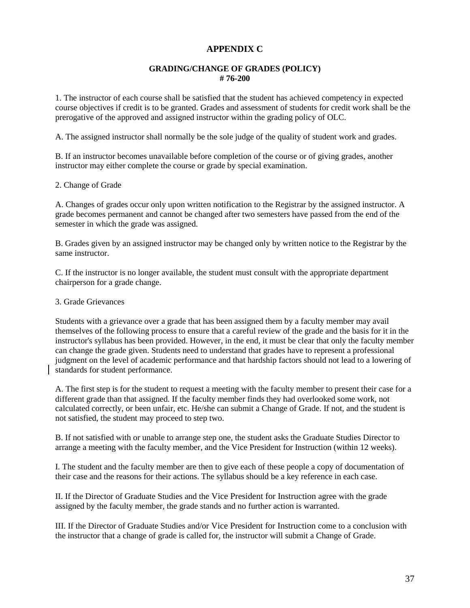#### **APPENDIX C**

#### **GRADING/CHANGE OF GRADES (POLICY) # 76-200**

1. The instructor of each course shall be satisfied that the student has achieved competency in expected course objectives if credit is to be granted. Grades and assessment of students for credit work shall be the prerogative of the approved and assigned instructor within the grading policy of OLC.

A. The assigned instructor shall normally be the sole judge of the quality of student work and grades.

B. If an instructor becomes unavailable before completion of the course or of giving grades, another instructor may either complete the course or grade by special examination.

#### 2. Change of Grade

A. Changes of grades occur only upon written notification to the Registrar by the assigned instructor. A grade becomes permanent and cannot be changed after two semesters have passed from the end of the semester in which the grade was assigned.

B. Grades given by an assigned instructor may be changed only by written notice to the Registrar by the same instructor.

C. If the instructor is no longer available, the student must consult with the appropriate department chairperson for a grade change.

#### 3. Grade Grievances

Students with a grievance over a grade that has been assigned them by a faculty member may avail themselves of the following process to ensure that a careful review of the grade and the basis for it in the instructor's syllabus has been provided. However, in the end, it must be clear that only the faculty member can change the grade given. Students need to understand that grades have to represent a professional judgment on the level of academic performance and that hardship factors should not lead to a lowering of standards for student performance.

A. The first step is for the student to request a meeting with the faculty member to present their case for a different grade than that assigned. If the faculty member finds they had overlooked some work, not calculated correctly, or been unfair, etc. He/she can submit a Change of Grade. If not, and the student is not satisfied, the student may proceed to step two.

B. If not satisfied with or unable to arrange step one, the student asks the Graduate Studies Director to arrange a meeting with the faculty member, and the Vice President for Instruction (within 12 weeks).

I. The student and the faculty member are then to give each of these people a copy of documentation of their case and the reasons for their actions. The syllabus should be a key reference in each case.

II. If the Director of Graduate Studies and the Vice President for Instruction agree with the grade assigned by the faculty member, the grade stands and no further action is warranted.

III. If the Director of Graduate Studies and/or Vice President for Instruction come to a conclusion with the instructor that a change of grade is called for, the instructor will submit a Change of Grade.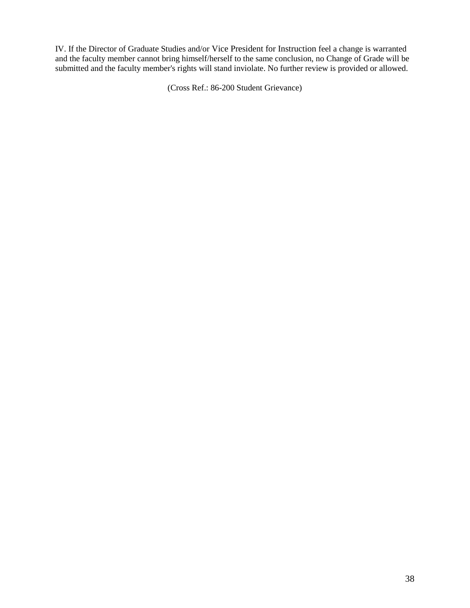IV. If the Director of Graduate Studies and/or Vice President for Instruction feel a change is warranted and the faculty member cannot bring himself/herself to the same conclusion, no Change of Grade will be submitted and the faculty member's rights will stand inviolate. No further review is provided or allowed.

(Cross Ref.: 86-200 Student Grievance)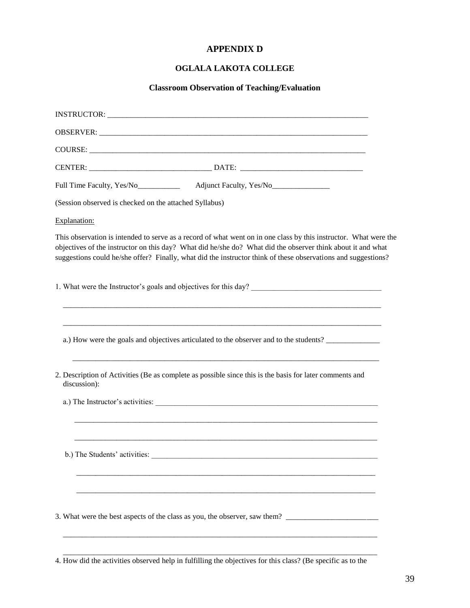#### **APPENDIX D**

#### **OGLALA LAKOTA COLLEGE**

#### **Classroom Observation of Teaching/Evaluation**

| Full Time Faculty, Yes/No<br>Molecular Adjunct Faculty, Yes/No<br>Molecular Adjunct Faculty, Yes/No<br>Molecular Adjunct Faculty, Yes/No<br>Molecular Adjunct Faculty, Yes/No<br>Molecular Adjunct Faculty, Yes/No<br>Molecular Adjunct Fa                                                                                                       |
|--------------------------------------------------------------------------------------------------------------------------------------------------------------------------------------------------------------------------------------------------------------------------------------------------------------------------------------------------|
| (Session observed is checked on the attached Syllabus)                                                                                                                                                                                                                                                                                           |
| Explanation:                                                                                                                                                                                                                                                                                                                                     |
| This observation is intended to serve as a record of what went on in one class by this instructor. What were the<br>objectives of the instructor on this day? What did he/she do? What did the observer think about it and what<br>suggestions could he/she offer? Finally, what did the instructor think of these observations and suggestions? |
| 1. What were the Instructor's goals and objectives for this day?                                                                                                                                                                                                                                                                                 |
| a.) How were the goals and objectives articulated to the observer and to the students?                                                                                                                                                                                                                                                           |
| 2. Description of Activities (Be as complete as possible since this is the basis for later comments and<br>discussion):                                                                                                                                                                                                                          |
| a.) The Instructor's activities:                                                                                                                                                                                                                                                                                                                 |
| b.) The Students' activities:                                                                                                                                                                                                                                                                                                                    |
|                                                                                                                                                                                                                                                                                                                                                  |

 \_\_\_\_\_\_\_\_\_\_\_\_\_\_\_\_\_\_\_\_\_\_\_\_\_\_\_\_\_\_\_\_\_\_\_\_\_\_\_\_\_\_\_\_\_\_\_\_\_\_\_\_\_\_\_\_\_\_\_\_\_\_\_\_\_\_\_\_\_\_\_\_\_\_\_\_\_\_\_\_\_\_ 4. How did the activities observed help in fulfilling the objectives for this class? (Be specific as to the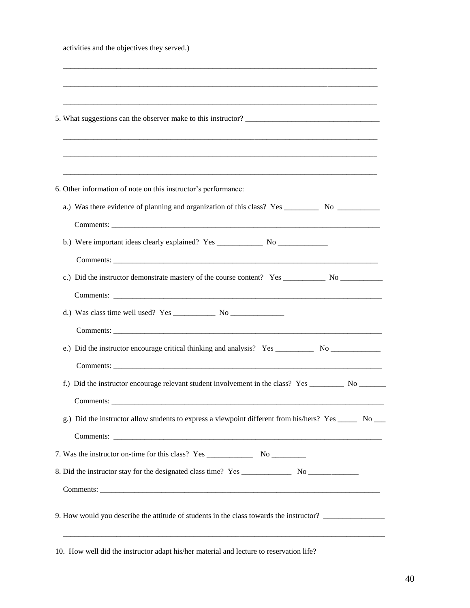| activities and the objectives they served.) |  |  |
|---------------------------------------------|--|--|
|---------------------------------------------|--|--|

| 6. Other information of note on this instructor's performance:                                           |
|----------------------------------------------------------------------------------------------------------|
| a.) Was there evidence of planning and organization of this class? Yes __________ No ______________      |
|                                                                                                          |
| b.) Were important ideas clearly explained? Yes _________________________________                        |
|                                                                                                          |
|                                                                                                          |
|                                                                                                          |
|                                                                                                          |
|                                                                                                          |
| e.) Did the instructor encourage critical thinking and analysis? Yes ____________ No _______________     |
|                                                                                                          |
| f.) Did the instructor encourage relevant student involvement in the class? Yes _________ No _______     |
| Comments:                                                                                                |
| g.) Did the instructor allow students to express a viewpoint different from his/hers? Yes ______ No ____ |
|                                                                                                          |
|                                                                                                          |
|                                                                                                          |
|                                                                                                          |
| 9. How would you describe the attitude of students in the class towards the instructor?                  |
|                                                                                                          |

10. How well did the instructor adapt his/her material and lecture to reservation life?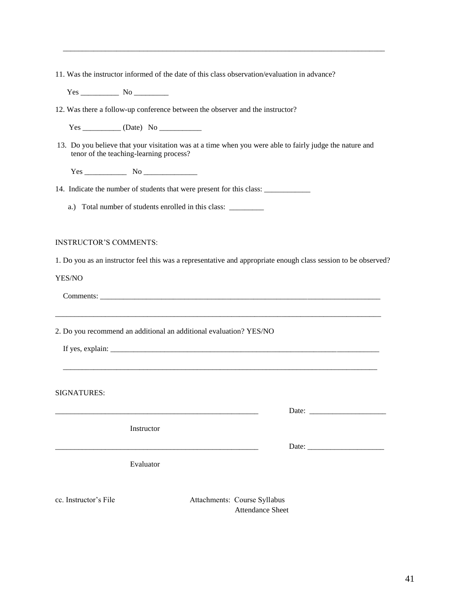|  |  |  |  | 11. Was the instructor informed of the date of this class observation/evaluation in advance? |  |  |  |  |  |  |  |  |  |  |  |  |  |
|--|--|--|--|----------------------------------------------------------------------------------------------|--|--|--|--|--|--|--|--|--|--|--|--|--|
|--|--|--|--|----------------------------------------------------------------------------------------------|--|--|--|--|--|--|--|--|--|--|--|--|--|

Yes \_\_\_\_\_\_\_\_\_\_ No \_\_\_\_\_\_\_\_\_

12. Was there a follow-up conference between the observer and the instructor?

Yes \_\_\_\_\_\_\_\_\_\_ (Date) No \_\_\_\_\_\_\_\_\_\_\_

13. Do you believe that your visitation was at a time when you were able to fairly judge the nature and tenor of the teaching-learning process?

 $\overline{\phantom{a}}$  ,  $\overline{\phantom{a}}$  ,  $\overline{\phantom{a}}$  ,  $\overline{\phantom{a}}$  ,  $\overline{\phantom{a}}$  ,  $\overline{\phantom{a}}$  ,  $\overline{\phantom{a}}$  ,  $\overline{\phantom{a}}$  ,  $\overline{\phantom{a}}$  ,  $\overline{\phantom{a}}$  ,  $\overline{\phantom{a}}$  ,  $\overline{\phantom{a}}$  ,  $\overline{\phantom{a}}$  ,  $\overline{\phantom{a}}$  ,  $\overline{\phantom{a}}$  ,  $\overline{\phantom{a}}$ 

Yes \_\_\_\_\_\_\_\_\_\_\_ No \_\_\_\_\_\_\_\_\_\_\_\_\_\_

14. Indicate the number of students that were present for this class: \_\_\_\_\_\_\_\_\_\_\_

a.) Total number of students enrolled in this class: \_\_\_\_\_\_\_\_\_\_\_

#### INSTRUCTOR'S COMMENTS:

1. Do you as an instructor feel this was a representative and appropriate enough class session to be observed?

\_\_\_\_\_\_\_\_\_\_\_\_\_\_\_\_\_\_\_\_\_\_\_\_\_\_\_\_\_\_\_\_\_\_\_\_\_\_\_\_\_\_\_\_\_\_\_\_\_\_\_\_\_\_\_\_\_\_\_\_\_\_\_\_\_\_\_\_\_\_\_\_\_\_\_\_\_\_\_\_\_\_\_\_\_

\_\_\_\_\_\_\_\_\_\_\_\_\_\_\_\_\_\_\_\_\_\_\_\_\_\_\_\_\_\_\_\_\_\_\_\_\_\_\_\_\_\_\_\_\_\_\_\_\_\_\_\_\_\_\_\_\_\_\_\_\_\_\_\_\_\_\_\_\_\_\_\_\_\_\_\_\_\_\_\_\_\_

YES/NO

Comments:

2. Do you recommend an additional an additional evaluation? YES/NO

If yes, explain: \_\_\_\_\_\_\_\_\_\_\_\_\_\_\_\_\_\_\_\_\_\_\_\_\_\_\_\_\_\_\_\_\_\_\_\_\_\_\_\_\_\_\_\_\_\_\_\_\_\_\_\_\_\_\_\_\_\_\_\_\_\_\_\_\_\_\_\_\_\_

SIGNATURES:

Instructor

Date:

\_\_\_\_\_\_\_\_\_\_\_\_\_\_\_\_\_\_\_\_\_\_\_\_\_\_\_\_\_\_\_\_\_\_\_\_\_\_\_\_\_\_\_\_\_\_\_\_\_\_\_\_\_ Date: \_\_\_\_\_\_\_\_\_\_\_\_\_\_\_\_\_\_\_\_

Evaluator

cc. Instructor's File Attachments: Course Syllabus Attendance Sheet